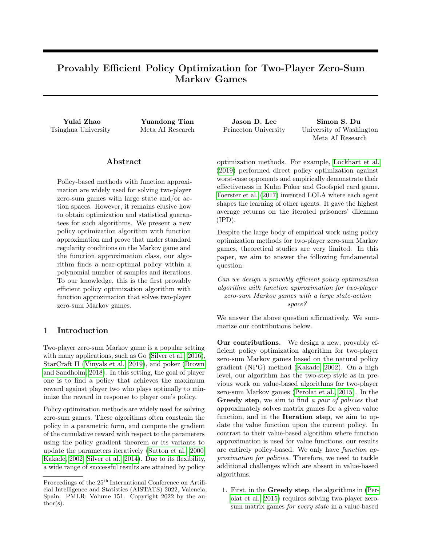# Provably Efficient Policy Optimization for Two-Player Zero-Sum Markov Games

### ${\rm Abstract}$

Policy-based methods with function approximation are widely used for solving two-player zero-sum games with large state and/or action spaces. However, it remains elusive how to obtain optimization and statistical guarantees for such algorithms. We present a new policy optimization algorithm with function approximation and prove that under standard regularity conditions on the Markov game and the function approximation class, our algorithm finds a near-optimal policy within a polynomial number of samples and iterations. To our knowledge, this is the first provably efficient policy optimization algorithm with function approximation that solves two-player zero-sum Markov games.

### 1 Introduction

Two-player zero-sum Markov game is a popular setting with many applications, such as Go [\(Silver et al., 2016\)](#page-10-0), StarCraft II [\(Vinyals et al., 2019\)](#page-10-1), and poker [\(Brown](#page-9-0) [and Sandholm, 2018\)](#page-9-0). In this setting, the goal of player one is to find a policy that achieves the maximum reward against player two who plays optimally to minimize the reward in response to player one's policy.

Policy optimization methods are widely used for solving zero-sum games. These algorithms often constrain the policy in a parametric form, and compute the gradient of the cumulative reward with respect to the parameters using the policy gradient theorem or its variants to update the parameters iteratively [\(Sutton et al., 2000;](#page-10-2) [Kakade, 2002;](#page-9-1) [Silver et al., 2014\)](#page-10-3). Due to its flexibility, a wide range of successful results are attained by policy

Yulai Zhao Yuandong Tian Jason D. Lee Simon S. Du Tsinghua University Meta AI Research Princeton University University of Washington Meta AI Research

> optimization methods. For example, [Lockhart et al.](#page-9-2) [\(2019\)](#page-9-2) performed direct policy optimization against worst-case opponents and empirically demonstrate their effectiveness in Kuhn Poker and Goofspiel card game. [Foerster et al.](#page-9-3) [\(2017\)](#page-9-3) invented LOLA where each agent shapes the learning of other agents. It gave the highest average returns on the iterated prisoners' dilemma (IPD).

> Despite the large body of empirical work using policy optimization methods for two-player zero-sum Markov games, theoretical studies are very limited. In this paper, we aim to answer the following fundamental question:

> Can we design a provably efficient policy optimization algorithm with function approximation for two-player zero-sum Markov games with a large state-action space?

> We answer the above question affirmatively. We summarize our contributions below.

> Our contributions. We design a new, provably efficient policy optimization algorithm for two-player zero-sum Markov games based on the natural policy gradient (NPG) method [\(Kakade, 2002\)](#page-9-1). On a high level, our algorithm has the two-step style as in previous work on value-based algorithms for two-player zero-sum Markov games [\(Perolat et al., 2015\)](#page-10-4). In the Greedy step, we aim to find a pair of policies that approximately solves matrix games for a given value function, and in the Iteration step, we aim to update the value function upon the current policy. In contrast to their value-based algorithm where function approximation is used for value functions, our results are entirely policy-based. We only have function approximation for policies. Therefore, we need to tackle additional challenges which are absent in value-based algorithms.

1. First, in the Greedy step, the algorithms in [\(Per](#page-10-4)[olat et al., 2015\)](#page-10-4) requires solving two-player zerosum matrix games for every state in a value-based

Proceedings of the  $25<sup>th</sup>$  International Conference on Artificial Intelligence and Statistics (AISTATS) 2022, Valencia, Spain. PMLR: Volume 151. Copyright 2022 by the au- $\text{thor}(s)$ .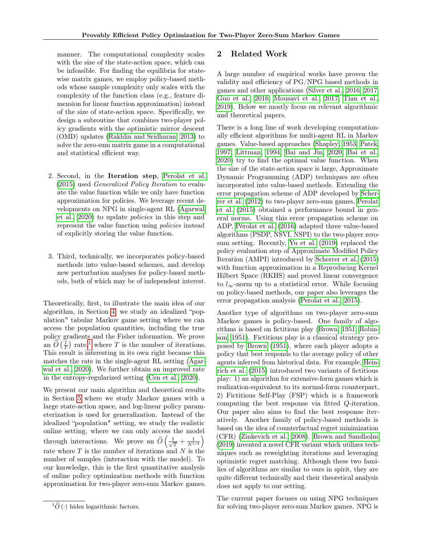manner. The computational complexity scales with the size of the state-action space, which can be infeasible. For finding the equilibria for statewise matrix games, we employ policy-based methods whose sample complexity only scales with the complexity of the function class (e.g., feature dimension for linear function approximation) instead of the size of state-action space. Specifically, we design a subroutine that combines two-player policy gradients with the optimistic mirror descent (OMD) updates [\(Rakhlin and Sridharan, 2013\)](#page-10-5) to solve the zero-sum matrix game in a computational and statistical efficient way.

- 2. Second, in the Iteration step, [Perolat et al.](#page-10-4) [\(2015\)](#page-10-4) used Generalized Policy Iteration to evaluate the value function while we only have function approximation for policies. We leverage recent developments on NPG in single-agent RL [\(Agarwal](#page-8-0) [et al., 2020\)](#page-8-0) to update policies in this step and represent the value function using policies instead of explicitly storing the value function.
- 3. Third, technically, we incorporates policy-based methods into value-based schemes, and develop new perturbation analyses for policy-based methods, both of which may be of independent interest.

Theoretically, first, to illustrate the main idea of our algorithm, in Section [4,](#page-4-0) we study an idealized "population" tabular Markov game setting where we can access the population quantities, including the true policy gradients and the Fisher information. We prove an  $\widetilde{O}\left(\frac{1}{T}\right)$  $\widetilde{O}\left(\frac{1}{T}\right)$  $\widetilde{O}\left(\frac{1}{T}\right)$  rate,<sup>1</sup> where T is the number of iterations. This result is interesting in its own right because this matches the rate in the single-agent RL setting [\(Agar](#page-8-0)[wal et al., 2020\)](#page-8-0). We further obtain an improved rate in the entropy-regularized setting [\(Cen et al., 2020\)](#page-9-4).

We present our main algorithm and theoretical results in Section [5](#page-6-0) where we study Markov games with a large state-action space, and log-linear policy parameterization is used for generalization. Instead of the idealized "population" setting, we study the realistic online setting, where we can only access the model through interactions. We prove an  $\widetilde{O}\left(\frac{1}{\sqrt{2}}\right)$  $\frac{1}{\overline{T}}+\frac{1}{N^{1/4}}\Big)$ rate where  $T$  is the number of iterations and  $N$  is the number of samples (interaction with the model). To our knowledge, this is the first quantitative analysis of online policy optimization methods with function approximation for two-player zero-sum Markov games.

### <span id="page-1-1"></span>2 Related Work

A large number of empirical works have proven the validity and efficiency of PG/NPG based methods in games and other applications [\(Silver et al., 2016,](#page-10-0) [2017;](#page-10-6) [Guo et al., 2016;](#page-9-5) [Mousavi et al., 2017;](#page-10-7) [Tian et al.,](#page-10-8) [2019\)](#page-10-8). Below we mostly focus on relevant algorithmic and theoretical papers.

There is a long line of work developing computationally efficient algorithms for multi-agent RL in Markov games. Value-based approaches [\(Shapley, 1953;](#page-10-9) [Patek,](#page-10-10) [1997;](#page-10-10) [Littman, 1994;](#page-9-6) [Bai and Jin, 2020;](#page-8-1) [Bai et al.,](#page-8-2) [2020\)](#page-8-2) try to find the optimal value function. When the size of the state-action space is large, Approximate Dynamic Programming (ADP) techniques are often incorporated into value-based methods. Extending the error propagation scheme of ADP developed by [Scher](#page-10-11)[rer et al.](#page-10-11) [\(2012\)](#page-10-11) to two-player zero-sum games, [Perolat](#page-10-4) [et al.](#page-10-4) [\(2015\)](#page-10-4) obtained a performance bound in general norms. Using this error propagation scheme on ADP, [Pérolat et al.](#page-10-12) [\(2016\)](#page-10-12) adapted three value-based algorithms (PSDP, NSVI, NSPI) to the two-player zerosum setting. Recently, [Yu et al.](#page-11-0) [\(2019\)](#page-11-0) replaced the policy evaluation step of Approximate Modified Policy Iteration (AMPI) introduced by [Scherrer et al.](#page-10-13) [\(2015\)](#page-10-13) with function approximation in a Reproducing Kernel Hilbert Space (RKHS) and proved linear convergence to  $l_{\infty}$ -norm up to a statistical error. While focusing on policy-based methods, our paper also leverages the error propagation analysis [\(Perolat et al., 2015\)](#page-10-4).

Another type of algorithms on two-player zero-sum Markov games is policy-based. One family of algorithms is based on fictitious play [\(Brown, 1951;](#page-9-7) [Robin](#page-10-14)[son, 1951\)](#page-10-14). Fictitious play is a classical strategy proposed by [Brown](#page-9-7) [\(1951\)](#page-9-7), where each player adopts a policy that best responds to the average policy of other agents inferred from historical data. For example, [Hein](#page-9-8)[rich et al.](#page-9-8) [\(2015\)](#page-9-8) introduced two variants of fictitious play: 1) an algorithm for extensive-form games which is realization-equivalent to its normal-form counterpart, 2) Fictitious Self-Play (FSP) which is a framework computing the best response via fitted Q-iteration. Our paper also aims to find the best response iteratively. Another family of policy-based methods is based on the idea of counterfactual regret minimization (CFR) [\(Zinkevich et al., 2008\)](#page-11-1). [Brown and Sandholm](#page-9-9) [\(2019\)](#page-9-9) invented a novel CFR variant which utilizes techniques such as reweighting iterations and leveraging optimistic regret matching. Although these two families of algorithms are similar to ours in spirit, they are quite different technically and their theoretical analysis does not apply to our setting.

The current paper focuses on using NPG techniques for solving two-player zero-sum Markov games. NPG is

<span id="page-1-0"></span> ${}^{1}\tilde{O}$  (·) hides logarithmic factors.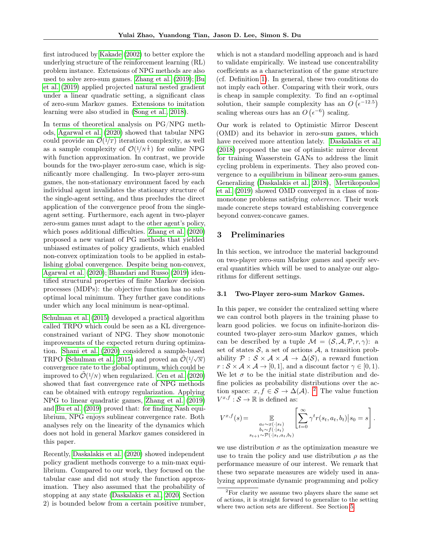first introduced by [Kakade](#page-9-1) [\(2002\)](#page-9-1) to better explore the underlying structure of the reinforcement learning (RL) problem instance. Extensions of NPG methods are also used to solve zero-sum games. [Zhang et al.](#page-11-2) [\(2019\)](#page-11-2); [Bu](#page-9-10) [et al.](#page-9-10) [\(2019\)](#page-9-10) applied projected natural nested gradient under a linear quadratic setting, a significant class of zero-sum Markov games. Extensions to imitation learning were also studied in [\(Song et al., 2018\)](#page-10-15).

In terms of theoretical analysis on PG/NPG methods, [Agarwal et al.](#page-8-0) [\(2020\)](#page-8-0) showed that tabular NPG could provide an  $\mathcal{O}(1/T)$  iteration complexity, as well as a sample complexity of  $\mathcal{O}(1/N^{\frac{1}{4}})$  for online NPG with function approximation. In contrast, we provide bounds for the two-player zero-sum case, which is significantly more challenging. In two-player zero-sum games, the non-stationary environment faced by each individual agent invalidates the stationary structure of the single-agent setting, and thus precludes the direct application of the convergence proof from the singleagent setting. Furthermore, each agent in two-player zero-sum games must adapt to the other agent's policy, which poses additional difficulties. [Zhang et al.](#page-11-3) [\(2020\)](#page-11-3) proposed a new variant of PG methods that yielded unbiased estimates of policy gradients, which enabled non-convex optimization tools to be applied in establishing global convergence. Despite being non-convex, [Agarwal et al.](#page-8-0) [\(2020\)](#page-8-0); [Bhandari and Russo](#page-8-3) [\(2019\)](#page-8-3) identified structural properties of finite Markov decision processes (MDPs): the objective function has no suboptimal local minimum. They further gave conditions under which any local minimum is near-optimal.

[Schulman et al.](#page-10-16) [\(2015\)](#page-10-16) developed a practical algorithm called TRPO which could be seen as a KL divergenceconstrained variant of NPG. They show monotonic improvements of the expected return during optimization. [Shani et al.](#page-10-17) [\(2020\)](#page-10-17) considered a sample-based TRPO [\(Schulman et al., 2015\)](#page-10-16) and proved an  $\tilde{\mathcal{O}}(1/\sqrt{N})$ convergence rate to the global optimum, which could be improved to  $\tilde{\mathcal{O}}(1/N)$  when regularized. [Cen et al.](#page-9-4) [\(2020\)](#page-9-4) showed that fast convergence rate of NPG methods can be obtained with entropy regularization. Applying NPG to linear quadratic games, [Zhang et al.](#page-11-2) [\(2019\)](#page-11-2) and [Bu et al.](#page-9-10) [\(2019\)](#page-9-10) proved that: for finding Nash equilibrium, NPG enjoys sublinear convergence rate. Both analyses rely on the linearity of the dynamics which does not hold in general Markov games considered in this paper.

Recently, [Daskalakis et al.](#page-9-11) [\(2020\)](#page-9-11) showed independent policy gradient methods converge to a min-max equilibrium. Compared to our work, they focused on the tabular case and did not study the function approximation. They also assumed that the probability of stopping at any state [\(Daskalakis et al., 2020,](#page-9-11) Section 2) is bounded below from a certain positive number, which is not a standard modelling approach and is hard to validate empirically. We instead use concentrability coefficients as a characterization of the game structure (cf. Definition [1\)](#page-4-1). In general, these two conditions do not imply each other. Comparing with their work, ours is cheap in sample complexity. To find an  $\epsilon$ -optimal solution, their sample complexity has an  $O(\epsilon^{-12.5})$ scaling whereas ours has an  $O(\epsilon^{-6})$  scaling.

Our work is related to Optimistic Mirror Descent (OMD) and its behavior in zero-sum games, which have received more attention lately. [Daskalakis et al.](#page-9-12) [\(2018\)](#page-9-12) proposed the use of optimistic mirror decent for training Wasserstein GANs to address the limit cycling problem in experiments. They also proved convergence to a equilibrium in bilinear zero-sum games. Generalizing [\(Daskalakis et al., 2018\)](#page-9-12), [Mertikopoulos](#page-9-13) [et al.](#page-9-13) [\(2019\)](#page-9-13) showed OMD converged in a class of nonmonotone problems satisfying *coherence*. Their work made concrete steps toward establishing convergence beyond convex-concave games.

### <span id="page-2-1"></span>3 Preliminaries

In this section, we introduce the material background on two-player zero-sum Markov games and specify several quantities which will be used to analyze our algorithms for different settings.

### 3.1 Two-Player zero-sum Markov Games.

In this paper, we consider the centralized setting where we can control both players in the training phase to learn good policies. we focus on infinite-horizon discounted two-player zero-sum Markov games, which can be described by a tuple  $\mathcal{M} = (\mathcal{S}, \mathcal{A}, \mathcal{P}, r, \gamma)$ : a set of states  $S$ , a set of actions  $A$ , a transition probability  $\mathcal{P}: \mathcal{S} \times \mathcal{A} \times \mathcal{A} \rightarrow \Delta(\mathcal{S})$ , a reward function  $r : \mathcal{S} \times \mathcal{A} \times \mathcal{A} \to [0, 1],$  and a discount factor  $\gamma \in [0, 1].$ We let  $\sigma$  to be the initial state distribution and define policies as probability distributions over the action space:  $x, f \in S \to \Delta(\mathcal{A})$ . <sup>[2](#page-2-0)</sup> The value function  $V^{x,f}: \mathcal{S} \to \mathbb{R}$  is defined as:

$$
V^{x,f}(s) = \mathop{\mathbb{E}}_{\substack{a_t \sim x(\cdot|s_t) \\ b_t \sim f(\cdot|s_t) \\ s_{t+1} \sim \mathcal{P}(\cdot|s_t, a_t, b_t)}} \left[ \sum_{t=0}^{\infty} \gamma^t r(s_t, a_t, b_t) \Big| s_0 = s \right].
$$

we use distribution  $\sigma$  as the optimization measure we use to train the policy and use distribution  $\rho$  as the performance measure of our interest. We remark that these two separate measures are widely used in analyzing approximate dynamic programming and policy

<span id="page-2-0"></span> $2^2$ For clarity we assume two players share the same set of actions, it is straight forward to generalize to the setting where two action sets are different. See Section [5.](#page-6-0)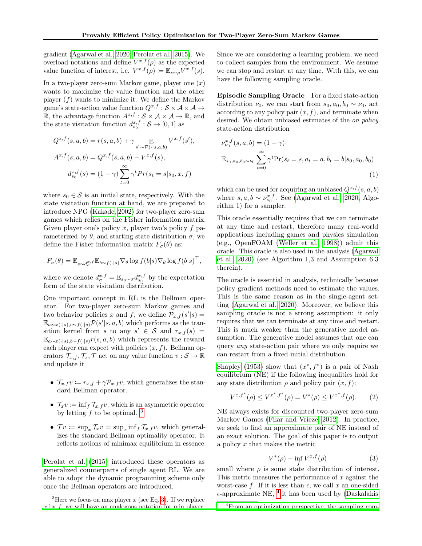gradient [\(Agarwal et al., 2020;](#page-8-0) [Perolat et al., 2015\)](#page-10-4). We overload notations and define  $V^{x,f}(\rho)$  as the expected value function of interest, i.e.  $V^{x,f}(\rho) \coloneqq \mathbb{E}_{s \sim \rho} V^{x,f}(s)$ .

In a two-player zero-sum Markov game, player one  $(x)$ wants to maximize the value function and the other player  $(f)$  wants to minimize it. We define the Markov game's state-action value function  $Q^{x,f}: \mathcal{S} \times \mathcal{A} \times \mathcal{A} \rightarrow$ R, the advantage function  $A^{x,f}: \mathcal{S} \times \mathcal{A} \times \mathcal{A} \rightarrow \mathbb{R}$ , and the state visitation function  $d_{s_0}^{x,f}: \mathcal{S} \to [0,1]$  as

$$
Q^{x,f}(s,a,b) = r(s,a,b) + \gamma \mathop{\mathbb{E}}_{s' \sim \mathcal{P}(\cdot | s,a,b)} V^{x,f}(s'),
$$
  

$$
A^{x,f}(s,a,b) = Q^{x,f}(s,a,b) - V^{x,f}(s),
$$
  

$$
d_{s_0}^{x,f}(s) = (1 - \gamma) \sum_{t=0}^{\infty} \gamma^t Pr(s_t = s | s_0, x, f)
$$

where  $s_0 \in \mathcal{S}$  is an initial state, respectively. With the state visitation function at hand, we are prepared to introduce NPG [\(Kakade, 2002\)](#page-9-1) for two-player zero-sum games which relies on the Fisher information matrix. Given player one's policy x, player two's policy  $f$  parameterized by  $\theta$ , and starting state distribution  $\sigma$ , we define the Fisher information matrix  $F_{\sigma}(\theta)$  as:

$$
F_{\sigma}(\theta) = \mathbb{E}_{s \sim d_{\sigma}^{x},f} \mathbb{E}_{b \sim f(\cdot | s)} \nabla_{\theta} \log f(b|s) \nabla_{\theta} \log f(b|s)^{\top},
$$

where we denote  $d_{\sigma}^{x,f} = \mathbb{E}_{s_0 \sim \sigma} d_{s_0}^{x,f}$  by the expectation form of the state visitation distribution.

One important concept in RL is the Bellman operator. For two-player zero-sum Markov games and two behavior policies x and f, we define  $\mathcal{P}_{x,f}(s'|s) =$  $\mathbb{E}_{a\sim x(\cdot|s),b\sim f(\cdot|s)}\mathcal{P}(s'|s,a,b)$  which performs as the transition kernel from s to any  $s' \in S$  and  $r_{x,f}(s) =$  $\mathbb{E}_{a \sim x(\cdot|s),b \sim f(\cdot|s)} r(s,a,b)$  which represents the reward each player can expect with policies  $(x, f)$ . Bellman operators  $\mathcal{T}_{x,f}, \mathcal{T}_x, \mathcal{T}$  act on any value function  $v : \mathcal{S} \to \mathbb{R}$ and update it

- $\mathcal{T}_{x,f} v := r_{x,f} + \gamma \mathcal{P}_{x,f} v$ , which generalizes the standard Bellman operator.
- $\mathcal{T}_x v := \inf_f \mathcal{T}_{x,f} v$ , which is an asymmetric operator by letting  $f$  to be optimal.  $3$
- $\mathcal{T}v \coloneqq \sup_x \mathcal{T}_x v = \sup_x \inf_f \mathcal{T}_{x,f} v$ , which generalizes the standard Bellman optimality operator. It reflects notions of minimax equilibrium in essence.

[Perolat et al.](#page-10-4) [\(2015\)](#page-10-4) introduced these operators as generalized counterparts of single agent RL. We are able to adopt the dynamic programming scheme only once the Bellman operators are introduced.

Since we are considering a learning problem, we need to collect samples from the environment. We assume we can stop and restart at any time. With this, we can have the following sampling oracle.

Episodic Sampling Oracle For a fixed state-action distribution  $\nu_0$ , we can start from  $s_0, a_0, b_0 \sim \nu_0$ , act according to any policy pair  $(x, f)$ , and terminate when desired. We obtain unbiased estimates of the on policy state-action distribution

$$
\nu_{\nu_0}^{x,f}(s, a, b) = (1 - \gamma) \cdot \mathbb{E}_{s_0, a_0, b_0 \sim \nu_0} \sum_{t=0}^{\infty} \gamma^t \Pr(s_t = s, a_t = a, b_t = b | s_0, a_0, b_0)
$$
\n(1)

which can be used for acquiring an unbiased  $Q^{x,f}(s, a, b)$ where  $s, a, b \sim \nu_{\nu_0}^{x,f}$ . See [\(Agarwal et al., 2020,](#page-8-0) Algorithm 1) for a sampler.

This oracle essentially requires that we can terminate at any time and restart, therefore many real-world applications including games and physics simulation (e.g., OpenFOAM [\(Weller et al., 1998\)](#page-11-4)) admit this oracle. This oracle is also used in the analysis [\(Agarwal](#page-8-0) [et al., 2020\)](#page-8-0) (see Algorithm 1,3 and Assumption 6.3 therein).

The oracle is essential in analysis, technically because policy gradient methods need to estimate the values. This is the same reason as in the single-agent setting [\(Agarwal et al., 2020\)](#page-8-0). Moreover, we believe this sampling oracle is not a strong assumption: it only requires that we can terminate at any time and restart. This is much weaker than the generative model assumption. The generative model assumes that one can query any state-action pair where we only require we can restart from a fixed initial distribution.

[Shapley](#page-10-9) [\(1953\)](#page-10-9) show that  $(x^*, f^*)$  is a pair of Nash equilibrium (NE) if the following inequalities hold for any state distribution  $\rho$  and policy pair  $(x, f)$ :

$$
V^{x,f^*}(\rho) \le V^{x^*,f^*}(\rho) = V^*(\rho) \le V^{x^*,f}(\rho). \tag{2}
$$

NE always exists for discounted two-player zero-sum Markov Games [\(Filar and Vrieze, 2012\)](#page-9-14). In practice, we seek to find an approximate pair of NE instead of an exact solution. The goal of this paper is to output a policy  $x$  that makes the metric

<span id="page-3-1"></span>
$$
V^*(\rho) - \inf_r V^{x,f}(\rho) \tag{3}
$$

small where  $\rho$  is some state distribution of interest. This metric measures the performance of  $x$  against the worst-case f. If it is less than  $\epsilon$ , we call x an one-sided  $\epsilon$ -approximate NE, <sup>[4](#page-3-2)</sup> it has been used by [\(Daskalakis](#page-9-15)

<span id="page-3-0"></span><sup>&</sup>lt;sup>3</sup>Here we focus on max player x (see Eq. [3\)](#page-3-1). If we replace  $x$  by  $f$ , we will have an analogous notation for min player.

<span id="page-3-2"></span><sup>4</sup>[From an optimization perspective, the sampling com-](#page-9-15)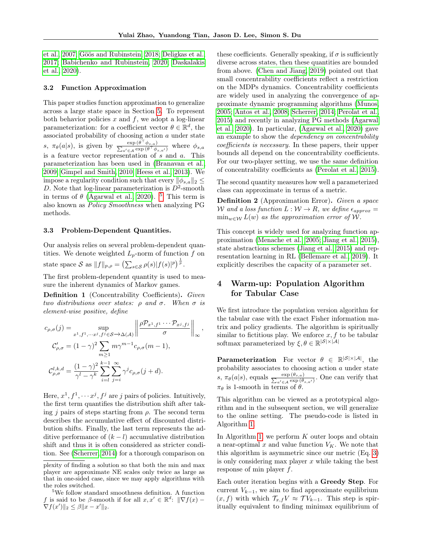[et al., 2007;](#page-9-15) [Göös and Rubinstein, 2018;](#page-9-16) [Deligkas et al.,](#page-9-17) [2017;](#page-9-17) [Babichenko and Rubinstein, 2020;](#page-8-4) [Daskalakis](#page-9-11) [et al., 2020\)](#page-9-11).

#### <span id="page-4-3"></span>3.2 Function Approximation

This paper studies function approximation to generalize across a large state space in Section [5.](#page-6-0) To represent both behavior policies  $x$  and  $f$ , we adopt a log-linear parameterization: for a coefficient vector  $\theta \in \mathbb{R}^d$ , the associated probability of choosing action a under state s,  $\pi_{\theta}(a|s)$ , is given by  $\frac{\exp{(\theta^{\top})}}{\sum_{s \in \theta} \exp(s^{\top})}$  $\frac{\exp{(\theta^{\top} \phi_{s,a})}}{\sum_{a' \in \mathcal{A}} \exp{(\theta^{\top} \phi_{s,a'})}}$  where  $\phi_{s,a}$ is a feature vector representation of  $s$  and  $a$ . This parameterization has been used in [\(Branavan et al.,](#page-9-18) [2009;](#page-9-18) [Gimpel and Smith, 2010;](#page-9-19) [Heess et al., 2013\)](#page-9-20). We impose a regularity condition such that every  $\|\phi_{s,a}\|_2 \leq$ D. Note that log-linear parameterization is  $D^2$ -smooth in terms of  $\theta$  [\(Agarwal et al., 2020\)](#page-8-0). <sup>[5](#page-4-2)</sup> This term is also known as Policy Smoothness when analyzing PG methods.

#### 3.3 Problem-Dependent Quantities.

Our analysis relies on several problem-dependent quantities. We denote weighted  $L_p$ -norm of function f on state space S as  $||f||_{p,\rho} = (\sum_{s \in \mathcal{S}} \rho(s) |f(s)|^p)^{\frac{1}{p}}$ .

The first problem-dependent quantity is used to measure the inherent dynamics of Markov games.

<span id="page-4-1"></span>Definition 1 (Concentrability Coefficients). Given two distributions over states:  $\rho$  and  $\sigma$ . When  $\sigma$  is element-wise positive, define

$$
c_{\rho,\sigma}(j) = \sup_{x^1, f^1, \dots, x^j, f^j \in \mathcal{S} \to \Delta(\mathcal{A})} \left\| \frac{\rho \mathcal{P}_{x^1, f^1} \cdots \mathcal{P}_{x^j, f^j}}{\sigma} \right\|_{\infty},
$$
  

$$
C'_{\rho,\sigma} = (1 - \gamma)^2 \sum_{m \ge 1} m \gamma^{m-1} c_{\rho,\sigma}(m-1),
$$
  

$$
C^{l,k,d}_{\rho,\sigma} = \frac{(1 - \gamma)^2}{\gamma^l - \gamma^k} \sum_{i=l}^{k-1} \sum_{j=i}^{\infty} \gamma^j c_{\rho,\sigma}(j+d).
$$

Here,  $x^1, f^1, \cdots x^j, f^j$  are j pairs of policies. Intuitively, the first term quantifies the distribution shift after taking j pairs of steps starting from  $\rho$ . The second term describes the accumulative effect of discounted distribution shifts. Finally, the last term represents the additive performance of  $(k - l)$  accumulative distribution shift and thus it is often considered as stricter condition. See [\(Scherrer, 2014\)](#page-10-18) for a thorough comparison on

these coefficients. Generally speaking, if  $\sigma$  is sufficiently diverse across states, then these quantities are bounded from above. [\(Chen and Jiang, 2019\)](#page-9-21) pointed out that small concentrability coefficients reflect a restriction on the MDPs dynamics. Concentrability coefficients are widely used in analyzing the convergence of approximate dynamic programming algorithms [\(Munos,](#page-10-19) [2005;](#page-10-19) [Antos et al., 2008;](#page-8-5) [Scherrer, 2014;](#page-10-18) [Perolat et al.,](#page-10-4) [2015\)](#page-10-4) and recently in analyzing PG methods [\(Agarwal](#page-8-0) [et al., 2020\)](#page-8-0). In particular, [\(Agarwal et al., 2020\)](#page-8-0) gave an example to show the dependency on concentrability coefficients is necessary. In these papers, their upper bounds all depend on the concentrability coefficients. For our two-player setting, we use the same definition of concentrability coefficients as [\(Perolat et al., 2015\)](#page-10-4).

The second quantity measures how well a parameterized class can approximate in terms of a metric.

<span id="page-4-4"></span>Definition 2 (Approximation Error). Given a space W and a loss function  $L: W \to R$ , we define  $\epsilon_{approx}$  $\min_{w \in \mathcal{W}} L(w)$  as the approximation error of W.

This concept is widely used for analyzing function approximation [\(Menache et al., 2005;](#page-9-22) [Jiang et al., 2015\)](#page-9-23), state abstractions schemes [\(Jiang et al., 2015\)](#page-9-23) and representation learning in RL [\(Bellemare et al., 2019\)](#page-8-6). It explicitly describes the capacity of a parameter set.

## <span id="page-4-0"></span>4 Warm-up: Population Algorithm for Tabular Case

We first introduce the population version algorithm for the tabular case with the exact Fisher information matrix and policy gradients. The algorithm is spiritually similar to fictitious play. We enforce  $x, f$  to be tabular softmax parameterized by  $\xi, \theta \in \mathbb{R}^{|\mathcal{S}| \times |\mathcal{A}|}$ 

**Parameterization** For vector  $\theta \in \mathbb{R}^{|S| \times |A|}$ , the probability associates to choosing action a under state s,  $\pi_{\theta}(a|s)$ , equals  $\frac{\exp{(\theta_{s,a})}}{\sum_{a' \in A} \exp{(\theta_{a,a})}}$  $\frac{\exp{(\theta_{s,a})}}{a' \in \mathcal{A}^{\exp{(\theta_{s,a'})}}}.$  One can verify that  $\pi_{\theta}$  is 1-smooth in terms of  $\theta$ .

This algorithm can be viewed as a prototypical algorithm and in the subsequent section, we will generalize to the online setting. The pseudo-code is listed in Algorithm [1.](#page-5-0)

In Algorithm [1,](#page-5-0) we perform  $K$  outer loops and obtain a near-optimal x and value function  $V_K$ . We note that this algorithm is asymmetric since our metric (Eq. [3\)](#page-3-1) is only considering max player  $x$  while taking the best response of min player f.

Each outer iteration begins with a Greedy Step. For current  $V_{k-1}$ , we aim to find approximate equilibrium  $(x, f)$  with which  $\mathcal{T}_{x,f}V \approx \mathcal{T}V_{k-1}$ . This step is spiritually equivalent to finding minimax equilibrium of

plexity of finding a solution so that both the min and max player are approximate NE scales only twice as large as that in one-sided case, since we may apply algorithms with the roles switched.

<span id="page-4-2"></span><sup>5</sup>We follow standard smoothness definition. A function f is said to be  $\beta$ -smooth if for all  $x, x' \in \mathbb{R}^d$ :  $\|\nabla f(x) \nabla f(x') \|_2 \leq \beta \|x - x'\|_2.$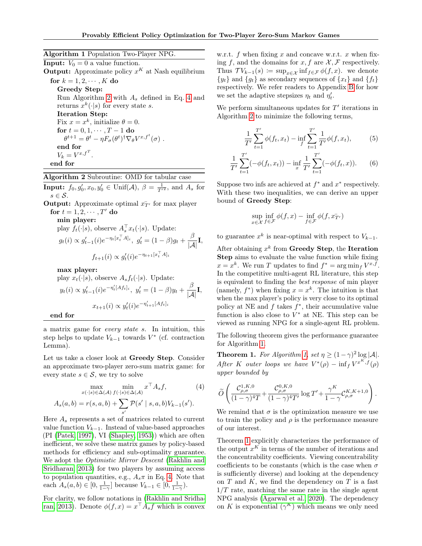## Algorithm 1 Population Two-Player NPG.

<span id="page-5-0"></span>**Input:**  $V_0 = 0$  a value function. **Output:** Approximate policy  $x^K$  at Nash equilibrium for  $k = 1, 2, \cdots, K$  do Greedy Step: Run Algorithm [2](#page-5-1) with  $A_s$  defined in Eq. [4](#page-5-2) and returns  $x^k(\cdot|s)$  for every state s. Iteration Step: Fix  $x = x^k$ , initialize  $\theta = 0$ . for  $t = 0, 1, \cdots, T - 1$  do  $\theta^{t+1} = \theta^t - \eta F_\sigma(\theta^t)^\dagger \nabla_\theta V^{x,f^t}(\sigma)$ . end for  $V_k = V^{x, f^T}.$ end for

## <span id="page-5-4"></span>Algorithm 2 Subroutine: OMD for tabular case

<span id="page-5-1"></span>**Input:**  $f_0, g'_0, x_0, y'_0 \in \text{Unif}(\mathcal{A}), \ \beta = \frac{1}{T'^2}$ , and  $A_s$  for  $s \in \mathcal{S}$ .

**Output:** Approximate optimal  $\bar{x}_{T}$  for max player for  $t = 1, 2, \cdots, T'$  do

min player:

play 
$$
f_t(\cdot|s)
$$
, observe  $A_s^{\top} x_t(\cdot|s)$ . Update:  
\n $g_t(i) \propto g'_{t-1}(i)e^{-\eta_t[x_t^{\top}A]_i}$ ,  $g'_t = (1 - \beta)g_t + \frac{\beta}{|\mathcal{A}|}\mathbf{I}$ ,  
\n $f_{t+1}(i) \propto g'_t(i)e^{-\eta_{t+1}[x_t^{\top}A]_i}$ 

max player:

play  $x_t(\cdot|s)$ , observe  $A_s f_t(\cdot|s)$ . Update:  $y_t(i) \propto y'_{t-1}(i)e^{-\eta'_t [Af_t]_i}, \ y'_t = (1-\beta)y_t + \frac{\beta}{|\mathcal{A}|}I,$  $x_{t+1}(i) \propto y'_t(i) e^{-\eta'_{t+1}[Af_t]_i}$ 

end for

a matrix game for every state s. In intuition, this step helps to update  $V_{k-1}$  towards  $V^*$  (cf. contraction Lemma).

Let us take a closer look at Greedy Step. Consider an approximate two-player zero-sum matrix game: for every state  $s \in \mathcal{S}$ , we try to solve

$$
\max_{x(\cdot|s)\in\Delta(\mathcal{A})} \min_{f(\cdot|s)\in\Delta(\mathcal{A})} x^{\top} A_s f, \tag{4}
$$

$$
A_s(a,b) = r(s,a,b) + \sum_{s'} \mathcal{P}(s' \mid s,a,b) V_{k-1}(s').
$$

Here  $A_s$  represents a set of matrices related to current value function  $V_{k-1}$ . Instead of value-based approaches (PI [\(Patek, 1997\)](#page-10-10), VI [\(Shapley, 1953\)](#page-10-9)) which are often inefficient, we solve these matrix games by policy-based methods for efficiency and sub-optimality guarantee. We adopt the *Optimistic Mirror Descent* [\(Rakhlin and](#page-10-5) [Sridharan, 2013\)](#page-10-5) for two players by assuming access to population quantities, e.g.,  $A_s \pi$  in Eq. [4.](#page-5-2) Note that each  $A_s(a, b) \in [0, \frac{1}{1-\gamma}]$  because  $V_{k-1} \in [0, \frac{1}{1-\gamma})$ .

For clarity, we follow notations in [\(Rakhlin and Sridha](#page-10-5)[ran, 2013\)](#page-10-5). Denote  $\phi(f, x) = x^\top A_s f$  which is convex w.r.t. f when fixing x and concave w.r.t. x when fixing f, and the domains for x, f are  $\mathcal{X}, \mathcal{F}$  respectively. Thus  $\mathcal{T} V_{k-1}(s) := \sup_{x \in \mathcal{X}} \inf_{f \in \mathcal{F}} \phi(f, x)$ . we denote  ${y_t}$  and  ${g_t}$  as secondary sequences of  ${x_t}$  and  ${f_t}$ respectively. We refer readers to Appendix [B](#page-15-0) for how we set the adaptive stepsizes  $\eta_t$  and  $\eta'_t$ .

We perform simultaneous updates for  $T'$  iterations in Algorithm [2](#page-5-1) to minimize the following terms,

<span id="page-5-5"></span>
$$
\frac{1}{T'}\sum_{t=1}^{T'} \phi(f_t, x_t) - \inf_f \sum_{t=1}^{T'} \frac{1}{T'} \phi(f, x_t),\tag{5}
$$

$$
\frac{1}{T'}\sum_{t=1}^{T'}(-\phi(f_t, x_t)) - \inf_x \frac{1}{T'}\sum_{t=1}^{T'}(-\phi(f_t, x)).
$$
 (6)

Suppose two infs are achieved at  $f^*$  and  $x^*$  respectively. With these two inequalities, we can derive an upper bound of Greedy Step:

$$
\sup_{x \in \mathcal{X}} \inf_{f \in \mathcal{F}} \phi(f, x) - \inf_{f \in \mathcal{F}} \phi(f, x_{T'}^-)
$$

to guarantee  $x^k$  is near-optimal with respect to  $V_{k-1}$ .

After obtaining  $x^k$  from Greedy Step, the Iteration Step aims to evaluate the value function while fixing  $x = x^k$ . We run T updates to find  $f^* = \arg \min_f V^{x,f}$ . In the competitive multi-agent RL literature, this step is equivalent to finding the best response of min player (namely,  $f^*$ ) when fixing  $x = x^k$ . The intuition is that when the max player's policy is very close to its optimal policy at NE and  $f$  takes  $f^*$ , their accumulative value function is also close to  $V^*$  at NE. This step can be viewed as running NPG for a single-agent RL problem.

The following theorem gives the performance guarantee for Algorithm [1.](#page-5-0)

<span id="page-5-3"></span>**Theorem 1.** For Algorithm [1,](#page-5-0) set  $\eta \geq (1 - \gamma)^2 \log |\mathcal{A}|$ . After K outer loops we have  $V^*(\rho) - \inf_f V^{x^K, f}(\rho)$ upper bounded by

<span id="page-5-2"></span>
$$
\widetilde{O}\left(\frac{\mathcal{C}^{1,K,0}_{\rho,\sigma}}{(1-\gamma)^4T} \hspace{-0.5mm}+\hspace{-0.5mm} \frac{\mathcal{C}^{0,K,0}_{\rho,\sigma}}{(1-\gamma)^4T'} \log T' \hspace{-0.5mm}+\hspace{-0.5mm} \frac{\gamma^K}{1-\gamma} \hspace{-0.5mm} \mathcal{C}^{K,K+1,0}_{\rho,\sigma} \right).
$$

We remind that  $\sigma$  is the optimization measure we use to train the policy and  $\rho$  is the performance measure of our interest.

Theorem [1](#page-5-3) explicitly characterizes the performance of the output  $x^K$  in terms of the number of iterations and the concentrability coefficients. Viewing concentrability coefficients to be constants (which is the case when  $\sigma$ is sufficiently diverse) and looking at the dependency on  $T$  and  $K$ , we find the dependency on  $T$  is a fast  $1/T$  rate, matching the same rate in the single agent NPG analysis [\(Agarwal et al., 2020\)](#page-8-0). The dependency on K is exponential  $(\gamma^K)$  which means we only need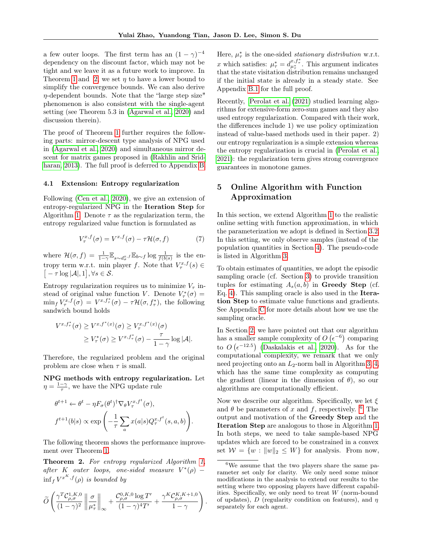a few outer loops. The first term has an  $(1 - \gamma)^{-4}$ dependency on the discount factor, which may not be tight and we leave it as a future work to improve. In Theorem [1](#page-5-3) and [2,](#page-6-1) we set  $\eta$  to have a lower bound to simplify the convergence bounds. We can also derive η-dependent bounds. Note that the "large step size" phenomenon is also consistent with the single-agent setting (see Theorem 5.3 in [\(Agarwal et al., 2020\)](#page-8-0) and discussion therein).

The proof of Theorem [1](#page-5-3) further requires the following parts: mirror-descent type analysis of NPG used in [\(Agarwal et al., 2020\)](#page-8-0) and simultaneous mirror descent for matrix games proposed in [\(Rakhlin and Srid](#page-10-5)[haran, 2013\)](#page-10-5). The full proof is deferred to Appendix [B.](#page-17-0)

### 4.1 Extension: Entropy regularization

Following [\(Cen et al., 2020\)](#page-9-4), we give an extension of entropy-regularized NPG in the Iteration Step for Algorithm [1.](#page-5-0) Denote  $\tau$  as the regularization term, the entropy regularized value function is formulated as

$$
V_{\tau}^{x,f}(\sigma) = V^{x,f}(\sigma) - \tau \mathcal{H}(\sigma, f) \tag{7}
$$

where  $\mathcal{H}(\sigma, f) = \frac{1}{1-\gamma} \mathbb{E}_{s \sim d_{\sigma}^{x}, f} \mathbb{E}_{b \sim f} \log \frac{1}{f(b|s)}$  is the entropy term w.r.t. min player f. Note that  $V^{x,f}_\tau(s) \in$  $\big[-\tau \log |\mathcal{A}|, 1\big], \forall s \in \mathcal{S}.$ 

Entropy regularization requires us to minimize  $V_{\tau}$  instead of original value function V. Denote  $V^*_{\tau}(\sigma) =$  $\min_f V^{x,f}_{\tau}(\sigma) = V^{x,f^*_{\tau}}(\sigma) - \tau \mathcal{H}(\sigma, f^*_{\tau}),$  the following sandwich bound holds

$$
V^{x, f^*_\tau}(\sigma) \geq V^{x, f^*(x)}(\sigma) \geq V^{x, f^*(x)}_\tau(\sigma)
$$
  
 
$$
\geq V^*_\tau(\sigma) \geq V^{x, f^*_\tau}(\sigma) - \frac{\tau}{1 - \gamma} \log |\mathcal{A}|.
$$

Therefore, the regularized problem and the original problem are close when  $\tau$  is small.

NPG methods with entropy regularization. Let  $\eta = \frac{1-\gamma}{\tau}$ , we have the NPG update rule

$$
\theta^{t+1} \leftarrow \theta^t - \eta F_\sigma(\theta^t)^\dagger \nabla_\theta V_\tau^{x,f^t}(\sigma),
$$
  

$$
f^{t+1}(b|s) \propto \exp\left(-\frac{1}{\tau} \sum_a x(a|s) Q_\tau^{x,f^t}(s,a,b)\right).
$$

The following theorem shows the performance improvement over Theorem [1.](#page-5-3)

<span id="page-6-1"></span>Theorem 2. For entropy regularized Algorithm [1,](#page-5-0) after K outer loops, one-sided measure  $V^*(\rho)$  –  $\inf_{f} V^{x^K, f}(\rho)$  is bounded by

$$
\widetilde{O}\left(\frac{\gamma^T\mathcal{C}_{\rho,\sigma}^{1,K,0}}{(1-\gamma)^2}\left\|\frac{\sigma}{\mu_\tau^*}\right\|_\infty + \frac{\mathcal{C}_{\rho,\sigma}^{0,K,0}\log T'}{(1-\gamma)^4T'} + \frac{\gamma^K\mathcal{C}_{\rho,\sigma}^{K,K+1,0}}{1-\gamma}\right)
$$

.

Here,  $\mu^*$  is the one-sided *stationary distribution* w.r.t. x which satisfies:  $\mu_{\tau}^* = d_{\mu_{\tau}}^{x, f_{\tau}^*}$ . This argument indicates that the state visitation distribution remains unchanged if the initial state is already in a steady state. See Appendix [B.1](#page-17-1) for the full proof.

Recently, [Perolat et al.](#page-10-20) [\(2021\)](#page-10-20) studied learning algorithms for extensive-form zero-sum games and they also used entropy regularization. Compared with their work, the differences include 1) we use policy optimization instead of value-based methods used in their paper. 2) our entropy regularization is a simple extension whereas the entropy regularization is crucial in [\(Perolat et al.,](#page-10-20) [2021\)](#page-10-20): the regularization term gives strong convergence guarantees in monotone games.

## <span id="page-6-0"></span>5 Online Algorithm with Function Approximation

In this section, we extend Algorithm [1](#page-5-0) to the realistic online setting with function approximation, in which the parameterization we adopt is defined in Section [3.2.](#page-4-3) In this setting, we only observe samples (instead of the population quantities in Section [4\)](#page-4-0). The pseudo-code is listed in Algorithm [3.](#page-7-0)

To obtain estimates of quantities, we adopt the episodic sampling oracle (cf. Section [3\)](#page-2-1) to provide transition tuples for estimating  $A_s(a, b)$  in **Greedy Step** (cf. Eq. [4\)](#page-5-2). This sampling oracle is also used in the Iteration Step to estimate value functions and gradients. See Appendix [C](#page-20-0) for more details about how we use the sampling oracle.

In Section [2,](#page-1-1) we have pointed out that our algorithm has a smaller sample complexity of  $O(\epsilon^{-6})$  comparing to  $O(\epsilon^{-12.5})$  [\(Daskalakis et al., 2020\)](#page-9-11). As for the computational complexity, we remark that we only need projecting onto an  $L_2$ -norm ball in Algorithm [3,](#page-7-0) [4,](#page-8-7) which has the same time complexity as computing the gradient (linear in the dimension of  $\theta$ ), so our algorithms are computationally efficient.

Now we describe our algorithm. Specifically, we let  $\xi$ and  $\theta$  be parameters of x and f, respectively. <sup>[6](#page-6-2)</sup> The output and motivation of the Greedy Step and the Iteration Step are analogous to those in Algorithm [1.](#page-5-0) In both steps, we need to take sample-based NPG updates which are forced to be constrained in a convex set  $W = \{w : ||w||_2 \leq W\}$  for analysis. From now,

<span id="page-6-2"></span><sup>6</sup>We assume that the two players share the same parameter set only for clarity. We only need some minor modifications in the analysis to extend our results to the setting where two opposing players have different capabilities. Specifically, we only need to treat  $W$  (norm-bound of updates), D (regularity condition on features), and  $\eta$ separately for each agent.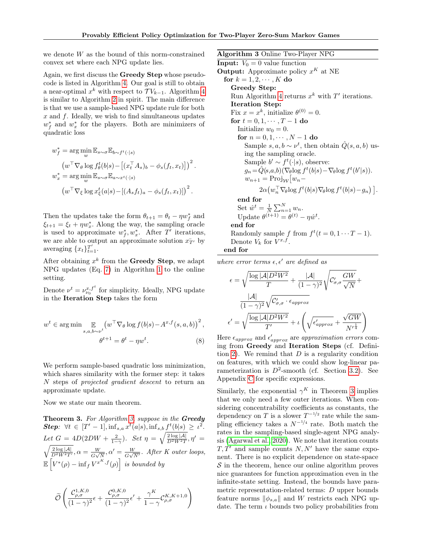we denote W as the bound of this norm-constrained convex set where each NPG update lies.

Again, we first discuss the Greedy Step whose pseudocode is listed in Algorithm [4.](#page-8-7) Our goal is still to obtain a near-optimal  $x^k$  with respect to  $\mathcal{T} V_{k-1}$ . Algorithm [4](#page-8-7) is similar to Algorithm [2](#page-5-1) in spirit. The main difference is that we use a sample-based NPG update rule for both x and f. Ideally, we wish to find simultaneous updates  $w_f^*$  and  $w_x^*$  for the players. Both are minimizers of quadratic loss

$$
w_f^* = \arg\min_{w} \mathbb{E}_{s \sim \sigma} \mathbb{E}_{b \sim f^t(\cdot|s)}
$$
  
\n
$$
\left(w^\top \nabla_{\theta} \log f_{\theta}^t(b|s) - \left[(x_t^\top A_s)_b - \phi_s(f_t, x_t)\right]\right)^2
$$
  
\n
$$
w_x^* = \arg\min_{w} \mathbb{E}_{s \sim \sigma} \mathbb{E}_{a \sim x^t(\cdot|s)}
$$
  
\n
$$
\left(w^\top \nabla_{\xi} \log x_{\xi}^t(a|s) - \left[(A_s f_t)_a - \phi_s(f_t, x_t)\right]\right)^2
$$

Then the updates take the form  $\theta_{t+1} = \theta_t - \eta w_f^*$  and  $\xi_{t+1} = \xi_t + \eta w_x^*$ . Along the way, the sampling oracle is used to approximate  $w_f^*, w_x^*$ . After T' iterations, we are able to output an approximate solution  $x_{T}$ <sup>t</sup> by averaging  $\{x_t\}_{t=1}^{T'}$ .

After obtaining  $x^k$  from the Greedy Step, we adapt NPG updates (Eq. [7\)](#page-5-4) in Algorithm [1](#page-5-0) to the online setting.

Denote  $\nu^t = \nu_{\nu_0}^{x,f^t}$  for simplicity. Ideally, NPG update in the Iteration Step takes the form

$$
w^{t} \in \arg\min \mathop{\mathbb{E}}_{s,a,b \sim v^{t}} \left( w^{\top} \nabla_{\theta} \log f(b|s) - A^{x,f}(s,a,b) \right)^{2},
$$

$$
\theta^{t+1} = \theta^{t} - \eta w^{t}.
$$
 (8)

We perform sample-based quadratic loss minimization, which shares similarity with the former step: it takes N steps of projected gradient descent to return an approximate update.

Now we state our main theorem.

<span id="page-7-1"></span>Theorem 3. For Algorithm [3,](#page-7-0) suppose in the Greedy **Step:**  $\forall t \in [T' - 1], \inf_{s,a} x^t(a|s), \inf_{s,b} f^t(b|s) \geq \iota^2$ . Let  $G = 4D(2DW + \frac{2}{1-\gamma})$ . Set  $\eta = \sqrt{\frac{2 \log |\mathcal{A}|}{D^2 W^2 T}}, \eta' =$  $\sqrt{\frac{2 \log |\mathcal{A}|}{D^2 W^2 T'}}$ ,  $\alpha = \frac{W}{G \sqrt{2}}$  $\frac{W}{G\sqrt{N}}, \alpha'=\frac{W}{G\sqrt{N}}$  $\frac{W}{G\sqrt{N'}}$ . After K outer loops,  $\mathbb{E}\left[V^*(\rho)-\inf_{f}V^{x^K,f}(\rho)\right]$  is bounded by

$$
\widetilde{\mathcal{O}}\left(\frac{\mathcal{C}_{\rho,\sigma}^{1,K,0}}{(1-\gamma)^2}\epsilon + \frac{\mathcal{C}_{\rho,\sigma}^{0,K,0}}{(1-\gamma)^2}\epsilon' + \frac{\gamma^K}{1-\gamma}\mathcal{C}_{\rho,\sigma}^{K,K+1,0}\right)
$$

Algorithm 3 Online Two-Player NPG

<span id="page-7-0"></span>**Input:**  $V_0 = 0$  value function **Output:** Approximate policy  $x^K$  at NE for  $k = 1, 2, \cdots, K$  do Greedy Step: Run Algorithm [4](#page-8-7) returns  $x^k$  with  $T'$  iterations. Iteration Step: Fix  $x = x^k$ , initialize  $\theta^{(0)} = 0$ . for  $t = 0, 1, \cdots, T - 1$  do Initialize  $w_0 = 0$ . for  $n = 0, 1, \dots, N - 1$  do Sample  $s, a, b \sim \nu^t$ , then obtain  $\hat{Q}(s, a, b)$  using the sampling oracle. Sample  $b' \sim f^t(\cdot | s)$ , observe:  $g_n = \hat{Q}(s, a, b) (\nabla_{\theta} \log f^t(b|s) - \nabla_{\theta} \log f^t(b'|s)).$  $w_{n+1} = \text{Proj}_{\mathcal{W}}[w_n 2\alpha \left(w_n^{\top} \nabla_{\theta} \log f^{t}(b|s) \nabla_{\theta} \log f^{t}(b|s) - g_n\right)\right].$ end for Set  $\hat{w}^t = \frac{1}{N} \sum_{n=1}^N w_n$ . Update  $\theta^{(t+1)} = \theta^{(t)} - \eta \hat{w}^t$ . end for Randomly sample f from  $f^t(t=0,1 \cdots T-1)$ .

Denote  $V_k$  for  $V^{x,f}$ . end for

where error terms  $\epsilon, \epsilon'$  are defined as

$$
\epsilon = \sqrt{\frac{\log |\mathcal{A}| D^2 W^2}{T}} + \frac{|\mathcal{A}|}{(1-\gamma)^2} \sqrt{C'_{\sigma,\sigma} \frac{GW}{\sqrt{N}}} + \frac{|\mathcal{A}|}{(1-\gamma)^2} \sqrt{C'_{\sigma,\sigma} \cdot \epsilon_{approx}} \\\epsilon' = \sqrt{\frac{\log |\mathcal{A}| D^2 W^2}{T'}} + \iota \left( \sqrt{\epsilon'_{approx}} + \frac{\sqrt{GW}}{N'^{\frac{1}{4}}} \right)
$$

<span id="page-7-2"></span>Here  $\epsilon_{approx}$  and  $\epsilon'_{approx}$  are approximation errors coming from Greedy and Iteration Steps (cf. Defini-tion [2\)](#page-4-4). We remind that  $D$  is a regularity condition on features, with which we could show log-linear parameterization is  $D^2$ -smooth (cf. Section [3.2\)](#page-4-3). See Appendix [C](#page-20-0) for specific expressions.

Similarly, the exponential  $\gamma^K$  in Theorem [3](#page-7-1) implies that we only need a few outer iterations. When considering concentrability coefficients as constants, the dependency on T is a slower  $T^{-1/2}$  rate while the sampling efficiency takes a  $N^{-1/4}$  rate. Both match the rates in the sampling-based single-agent NPG analysis [\(Agarwal et al., 2020\)](#page-8-0). We note that iteration counts  $T, T'$  and sample counts N, N' have the same exponent. There is no explicit dependence on state-space  $S$  in the theorem, hence our online algorithm proves nice guarantees for function approximation even in the infinite-state setting. Instead, the bounds have parametric representation-related terms: D upper bounds feature norms  $\|\phi_{s,a}\|$  and W restricts each NPG update. The term  $\iota$  bounds two policy probabilities from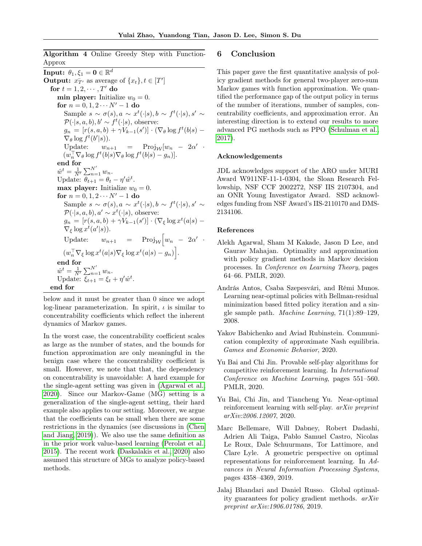Algorithm 4 Online Greedy Step with Function-Approx

<span id="page-8-7"></span> $\textbf{Input:} \ \ \theta_1, \xi_1 = \textbf{0} \in \mathbb{R}^d$ **Output:**  $x_{T'}^-$  as average of  $\{x_t\}, t \in [T']$ for  $t = 1, 2, \cdots, T'$  do min player: Initialize  $w_0 = 0$ . for  $n = 0, 1, 2 \cdots N' - 1$  do Sample  $s \sim \sigma(s)$ ,  $a \sim x^t(\cdot|s)$ ,  $b \sim f^t(\cdot|s)$ ,  $s' \sim$  $\mathcal{P}(\cdot|s, a, b), b' \sim f^t(\cdot|s)$ , observe:  $g_n = [r(s, a, b) + \gamma V_{k-1}(s')] \cdot (\nabla_\theta \log f^t(b|s) -$ <br> $\nabla_\theta \log f^t(b|s))$  $\nabla_{\theta} \log f^t(b'|s)).$ Update:  $w_{n+1}$  = Proj<sub>W</sub>[ $w_n$  –  $2\alpha'$  $(w_n^{\top} \nabla_{\theta} \log f^t(b|s) \nabla_{\theta} \log f^t(b|s) - g_n)].$ end for  $\hat{w}^t = \frac{1}{N'} \sum_{n=1}^{N'} w_n.$ Update:  $\theta_{t+1} = \theta_t - \eta' \hat{w}^t$ . max player: Initialize  $w_0 = 0$ . for  $n = 0, 1, 2 \cdots N' - 1$  do Sample  $s \sim \sigma(s)$ ,  $a \sim x^t(\cdot|s)$ ,  $b \sim f^t(\cdot|s)$ ,  $s' \sim$  $\mathcal{P}(\cdot|s, a, b), a' \sim x^t(\cdot|s),$  observe:  $g_n = [r(s, a, b) + \gamma V_{k-1}(s')] \cdot (\nabla_{\xi} \log x^{t}(a|s) \nabla_{\xi} \log x^{t}(a'|s)).$ Update:  $w_{n+1} = \text{Proj}_{\mathcal{W}} \left[ w_n - 2\alpha' \right]$  $(w_n^{\top} \nabla_{\xi} \log x^{t}(a|s) \nabla_{\xi} \log x^{t}(a|s) - g_n)$ . end for  $\hat{w}^t = \frac{1}{N'} \sum_{n=1}^{N'} w_n.$ Update:  $\xi_{t+1} = \xi_t + \eta' \hat{w}^t$ . end for

below and it must be greater than 0 since we adopt log-linear parameterization. In spirit,  $\iota$  is similar to concentrability coefficients which reflect the inherent dynamics of Markov games.

In the worst case, the concentrability coefficient scales as large as the number of states, and the bounds for function approximation are only meaningful in the benign case where the concentrability coefficient is small. However, we note that that, the dependency on concentrability is unavoidable: A hard example for the single-agent setting was given in [\(Agarwal et al.,](#page-8-0) [2020\)](#page-8-0). Since our Markov-Game (MG) setting is a generalization of the single-agent setting, their hard example also applies to our setting. Moreover, we argue that the coefficients can be small when there are some restrictions in the dynamics (see discussions in [\(Chen](#page-9-21) [and Jiang, 2019\)](#page-9-21)). We also use the same definition as in the prior work value-based learning [\(Perolat et al.,](#page-10-4) [2015\)](#page-10-4). The recent work [\(Daskalakis et al., 2020\)](#page-9-11) also assumed this structure of MGs to analyze policy-based methods.

### 6 Conclusion

This paper gave the first quantitative analysis of policy gradient methods for general two-player zero-sum Markov games with function approximation. We quantified the performance gap of the output policy in terms of the number of iterations, number of samples, concentrability coefficients, and approximation error. An interesting direction is to extend our results to more advanced PG methods such as PPO [\(Schulman et al.,](#page-10-21) [2017\)](#page-10-21).

#### Acknowledgements

JDL acknowledges support of the ARO under MURI Award W911NF-11-1-0304, the Sloan Research Fellowship, NSF CCF 2002272, NSF IIS 2107304, and an ONR Young Investigator Award. SSD acknowledges funding from NSF Award's IIS-2110170 and DMS-2134106.

### References

- <span id="page-8-0"></span>Alekh Agarwal, Sham M Kakade, Jason D Lee, and Gaurav Mahajan. Optimality and approximation with policy gradient methods in Markov decision processes. In Conference on Learning Theory, pages 64–66. PMLR, 2020.
- <span id="page-8-5"></span>András Antos, Csaba Szepesvári, and Rémi Munos. Learning near-optimal policies with Bellman-residual minimization based fitted policy iteration and a single sample path. Machine Learning, 71(1):89–129, 2008.
- <span id="page-8-4"></span>Yakov Babichenko and Aviad Rubinstein. Communication complexity of approximate Nash equilibria. Games and Economic Behavior, 2020.
- <span id="page-8-1"></span>Yu Bai and Chi Jin. Provable self-play algorithms for competitive reinforcement learning. In International Conference on Machine Learning, pages 551–560. PMLR, 2020.
- <span id="page-8-2"></span>Yu Bai, Chi Jin, and Tiancheng Yu. Near-optimal reinforcement learning with self-play. arXiv preprint arXiv:2006.12007, 2020.
- <span id="page-8-6"></span>Marc Bellemare, Will Dabney, Robert Dadashi, Adrien Ali Taiga, Pablo Samuel Castro, Nicolas Le Roux, Dale Schuurmans, Tor Lattimore, and Clare Lyle. A geometric perspective on optimal representations for reinforcement learning. In Advances in Neural Information Processing Systems, pages 4358–4369, 2019.
- <span id="page-8-3"></span>Jalaj Bhandari and Daniel Russo. Global optimality guarantees for policy gradient methods. arXiv preprint arXiv:1906.01786, 2019.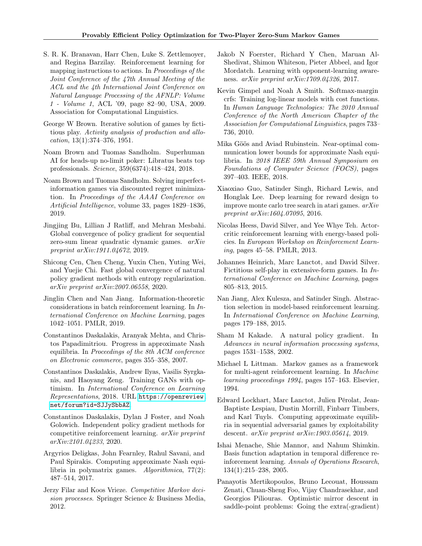- <span id="page-9-18"></span>S. R. K. Branavan, Harr Chen, Luke S. Zettlemoyer, and Regina Barzilay. Reinforcement learning for mapping instructions to actions. In Proceedings of the Joint Conference of the 47th Annual Meeting of the ACL and the 4th International Joint Conference on Natural Language Processing of the AFNLP: Volume 1 - Volume 1, ACL '09, page 82–90, USA, 2009. Association for Computational Linguistics.
- <span id="page-9-7"></span>George W Brown. Iterative solution of games by fictitious play. Activity analysis of production and allocation, 13(1):374–376, 1951.
- <span id="page-9-0"></span>Noam Brown and Tuomas Sandholm. Superhuman AI for heads-up no-limit poker: Libratus beats top professionals. Science, 359(6374):418–424, 2018.
- <span id="page-9-9"></span>Noam Brown and Tuomas Sandholm. Solving imperfectinformation games via discounted regret minimization. In Proceedings of the AAAI Conference on Artificial Intelligence, volume 33, pages 1829–1836, 2019.
- <span id="page-9-10"></span>Jingjing Bu, Lillian J Ratliff, and Mehran Mesbahi. Global convergence of policy gradient for sequential zero-sum linear quadratic dynamic games. arXiv preprint arXiv:1911.04672, 2019.
- <span id="page-9-4"></span>Shicong Cen, Chen Cheng, Yuxin Chen, Yuting Wei, and Yuejie Chi. Fast global convergence of natural policy gradient methods with entropy regularization. arXiv preprint arXiv:2007.06558, 2020.
- <span id="page-9-21"></span>Jinglin Chen and Nan Jiang. Information-theoretic considerations in batch reinforcement learning. In International Conference on Machine Learning, pages 1042–1051. PMLR, 2019.
- <span id="page-9-15"></span>Constantinos Daskalakis, Aranyak Mehta, and Christos Papadimitriou. Progress in approximate Nash equilibria. In Proceedings of the 8th ACM conference on Electronic commerce, pages 355–358, 2007.
- <span id="page-9-12"></span>Constantinos Daskalakis, Andrew Ilyas, Vasilis Syrgkanis, and Haoyang Zeng. Training GANs with optimism. In International Conference on Learning Representations, 2018. URL [https://openreview.](https://openreview.net/forum?id=SJJySbbAZ) [net/forum?id=SJJySbbAZ](https://openreview.net/forum?id=SJJySbbAZ).
- <span id="page-9-11"></span>Constantinos Daskalakis, Dylan J Foster, and Noah Golowich. Independent policy gradient methods for competitive reinforcement learning. arXiv preprint arXiv:2101.04233, 2020.
- <span id="page-9-17"></span>Argyrios Deligkas, John Fearnley, Rahul Savani, and Paul Spirakis. Computing approximate Nash equilibria in polymatrix games. Algorithmica, 77(2): 487–514, 2017.
- <span id="page-9-14"></span>Jerzy Filar and Koos Vrieze. Competitive Markov decision processes. Springer Science & Business Media, 2012.
- <span id="page-9-3"></span>Jakob N Foerster, Richard Y Chen, Maruan Al-Shedivat, Shimon Whiteson, Pieter Abbeel, and Igor Mordatch. Learning with opponent-learning awareness. arXiv preprint arXiv:1709.04326, 2017.
- <span id="page-9-19"></span>Kevin Gimpel and Noah A Smith. Softmax-margin crfs: Training log-linear models with cost functions. In Human Language Technologies: The 2010 Annual Conference of the North American Chapter of the Association for Computational Linguistics, pages 733– 736, 2010.
- <span id="page-9-16"></span>Mika Göös and Aviad Rubinstein. Near-optimal communication lower bounds for approximate Nash equilibria. In 2018 IEEE 59th Annual Symposium on Foundations of Computer Science (FOCS), pages 397–403. IEEE, 2018.
- <span id="page-9-5"></span>Xiaoxiao Guo, Satinder Singh, Richard Lewis, and Honglak Lee. Deep learning for reward design to improve monte carlo tree search in atari games. arXiv preprint arXiv:1604.07095, 2016.
- <span id="page-9-20"></span>Nicolas Heess, David Silver, and Yee Whye Teh. Actorcritic reinforcement learning with energy-based policies. In European Workshop on Reinforcement Learning, pages 45–58. PMLR, 2013.
- <span id="page-9-8"></span>Johannes Heinrich, Marc Lanctot, and David Silver. Fictitious self-play in extensive-form games. In International Conference on Machine Learning, pages 805–813, 2015.
- <span id="page-9-23"></span>Nan Jiang, Alex Kulesza, and Satinder Singh. Abstraction selection in model-based reinforcement learning. In International Conference on Machine Learning, pages 179–188, 2015.
- <span id="page-9-1"></span>Sham M Kakade. A natural policy gradient. In Advances in neural information processing systems, pages 1531–1538, 2002.
- <span id="page-9-6"></span>Michael L Littman. Markov games as a framework for multi-agent reinforcement learning. In Machine learning proceedings 1994, pages 157–163. Elsevier, 1994.
- <span id="page-9-2"></span>Edward Lockhart, Marc Lanctot, Julien Pérolat, Jean-Baptiste Lespiau, Dustin Morrill, Finbarr Timbers, and Karl Tuyls. Computing approximate equilibria in sequential adversarial games by exploitability descent. arXiv preprint arXiv:1903.05614, 2019.
- <span id="page-9-22"></span>Ishai Menache, Shie Mannor, and Nahum Shimkin. Basis function adaptation in temporal difference reinforcement learning. Annals of Operations Research, 134(1):215–238, 2005.
- <span id="page-9-13"></span>Panayotis Mertikopoulos, Bruno Lecouat, Houssam Zenati, Chuan-Sheng Foo, Vijay Chandrasekhar, and Georgios Piliouras. Optimistic mirror descent in saddle-point problems: Going the extra(-gradient)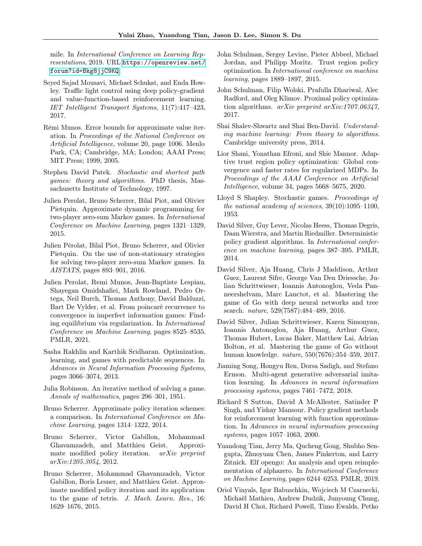mile. In International Conference on Learning Representations, 2019. URL [https://openreview.net/](https://openreview.net/forum?id=Bkg8jjC9KQ) [forum?id=Bkg8jjC9KQ](https://openreview.net/forum?id=Bkg8jjC9KQ).

- <span id="page-10-7"></span>Seyed Sajad Mousavi, Michael Schukat, and Enda Howley. Traffic light control using deep policy-gradient and value-function-based reinforcement learning. IET Intelligent Transport Systems, 11(7):417–423, 2017.
- <span id="page-10-19"></span>Rémi Munos. Error bounds for approximate value iteration. In Proceedings of the National Conference on Artificial Intelligence, volume 20, page 1006. Menlo Park, CA; Cambridge, MA; London; AAAI Press; MIT Press; 1999, 2005.
- <span id="page-10-10"></span>Stephen David Patek. Stochastic and shortest path games: theory and algorithms. PhD thesis, Massachusetts Institute of Technology, 1997.
- <span id="page-10-4"></span>Julien Perolat, Bruno Scherrer, Bilal Piot, and Olivier Pietquin. Approximate dynamic programming for two-player zero-sum Markov games. In International Conference on Machine Learning, pages 1321–1329, 2015.
- <span id="page-10-12"></span>Julien Pérolat, Bilal Piot, Bruno Scherrer, and Olivier Pietquin. On the use of non-stationary strategies for solving two-player zero-sum Markov games. In AISTATS, pages 893–901, 2016.
- <span id="page-10-20"></span>Julien Perolat, Remi Munos, Jean-Baptiste Lespiau, Shayegan Omidshafiei, Mark Rowland, Pedro Ortega, Neil Burch, Thomas Anthony, David Balduzzi, Bart De Vylder, et al. From poincaré recurrence to convergence in imperfect information games: Finding equilibrium via regularization. In International Conference on Machine Learning, pages 8525–8535. PMLR, 2021.
- <span id="page-10-5"></span>Sasha Rakhlin and Karthik Sridharan. Optimization, learning, and games with predictable sequences. In Advances in Neural Information Processing Systems, pages 3066–3074, 2013.
- <span id="page-10-14"></span>Julia Robinson. An iterative method of solving a game. Annals of mathematics, pages 296–301, 1951.
- <span id="page-10-18"></span>Bruno Scherrer. Approximate policy iteration schemes: a comparison. In International Conference on Machine Learning, pages 1314–1322, 2014.
- <span id="page-10-11"></span>Bruno Scherrer, Victor Gabillon, Mohammad Ghavamzadeh, and Matthieu Geist. Approximate modified policy iteration. *arXiv preprint* arXiv:1205.3054, 2012.
- <span id="page-10-13"></span>Bruno Scherrer, Mohammad Ghavamzadeh, Victor Gabillon, Boris Lesner, and Matthieu Geist. Approximate modified policy iteration and its application to the game of tetris. J. Mach. Learn. Res., 16: 1629–1676, 2015.
- <span id="page-10-16"></span>John Schulman, Sergey Levine, Pieter Abbeel, Michael Jordan, and Philipp Moritz. Trust region policy optimization. In International conference on machine learning, pages 1889–1897, 2015.
- <span id="page-10-21"></span>John Schulman, Filip Wolski, Prafulla Dhariwal, Alec Radford, and Oleg Klimov. Proximal policy optimization algorithms. arXiv preprint arXiv:1707.06347, 2017.
- <span id="page-10-22"></span>Shai Shalev-Shwartz and Shai Ben-David. Understanding machine learning: From theory to algorithms. Cambridge university press, 2014.
- <span id="page-10-17"></span>Lior Shani, Yonathan Efroni, and Shie Mannor. Adaptive trust region policy optimization: Global convergence and faster rates for regularized MDPs. In Proceedings of the AAAI Conference on Artificial Intelligence, volume 34, pages 5668–5675, 2020.
- <span id="page-10-9"></span>Lloyd S Shapley. Stochastic games. Proceedings of the national academy of sciences, 39(10):1095–1100, 1953.
- <span id="page-10-3"></span>David Silver, Guy Lever, Nicolas Heess, Thomas Degris, Daan Wierstra, and Martin Riedmiller. Deterministic policy gradient algorithms. In International conference on machine learning, pages 387–395. PMLR, 2014.
- <span id="page-10-0"></span>David Silver, Aja Huang, Chris J Maddison, Arthur Guez, Laurent Sifre, George Van Den Driessche, Julian Schrittwieser, Ioannis Antonoglou, Veda Panneershelvam, Marc Lanctot, et al. Mastering the game of Go with deep neural networks and tree search. nature, 529(7587):484–489, 2016.
- <span id="page-10-6"></span>David Silver, Julian Schrittwieser, Karen Simonyan, Ioannis Antonoglou, Aja Huang, Arthur Guez, Thomas Hubert, Lucas Baker, Matthew Lai, Adrian Bolton, et al. Mastering the game of Go without human knowledge. nature, 550(7676):354–359, 2017.
- <span id="page-10-15"></span>Jiaming Song, Hongyu Ren, Dorsa Sadigh, and Stefano Ermon. Multi-agent generative adversarial imitation learning. In Advances in neural information processing systems, pages 7461–7472, 2018.
- <span id="page-10-2"></span>Richard S Sutton, David A McAllester, Satinder P Singh, and Yishay Mansour. Policy gradient methods for reinforcement learning with function approximation. In Advances in neural information processing systems, pages 1057–1063, 2000.
- <span id="page-10-8"></span>Yuandong Tian, Jerry Ma, Qucheng Gong, Shubho Sengupta, Zhuoyuan Chen, James Pinkerton, and Larry Zitnick. Elf opengo: An analysis and open reimplementation of alphazero. In International Conference on Machine Learning, pages 6244–6253. PMLR, 2019.
- <span id="page-10-1"></span>Oriol Vinyals, Igor Babuschkin, Wojciech M Czarnecki, Michaël Mathieu, Andrew Dudzik, Junyoung Chung, David H Choi, Richard Powell, Timo Ewalds, Petko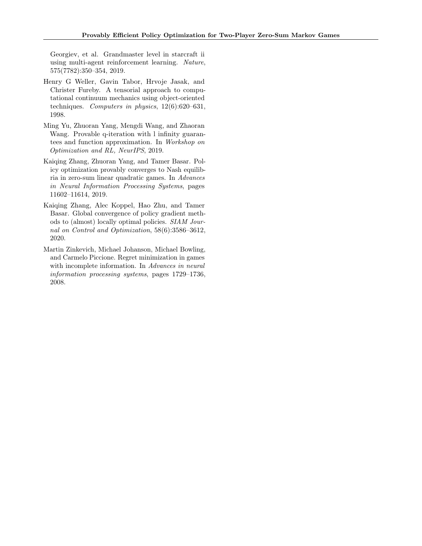Georgiev, et al. Grandmaster level in starcraft ii using multi-agent reinforcement learning. Nature, 575(7782):350–354, 2019.

- <span id="page-11-4"></span>Henry G Weller, Gavin Tabor, Hrvoje Jasak, and Christer Fureby. A tensorial approach to computational continuum mechanics using object-oriented techniques. Computers in physics, 12(6):620–631, 1998.
- <span id="page-11-0"></span>Ming Yu, Zhuoran Yang, Mengdi Wang, and Zhaoran Wang. Provable q-iteration with l infinity guarantees and function approximation. In Workshop on Optimization and RL, NeurIPS, 2019.
- <span id="page-11-2"></span>Kaiqing Zhang, Zhuoran Yang, and Tamer Basar. Policy optimization provably converges to Nash equilibria in zero-sum linear quadratic games. In Advances in Neural Information Processing Systems, pages 11602–11614, 2019.
- <span id="page-11-3"></span>Kaiqing Zhang, Alec Koppel, Hao Zhu, and Tamer Basar. Global convergence of policy gradient methods to (almost) locally optimal policies. SIAM Journal on Control and Optimization, 58(6):3586–3612, 2020.
- <span id="page-11-1"></span>Martin Zinkevich, Michael Johanson, Michael Bowling, and Carmelo Piccione. Regret minimization in games with incomplete information. In Advances in neural information processing systems, pages 1729–1736, 2008.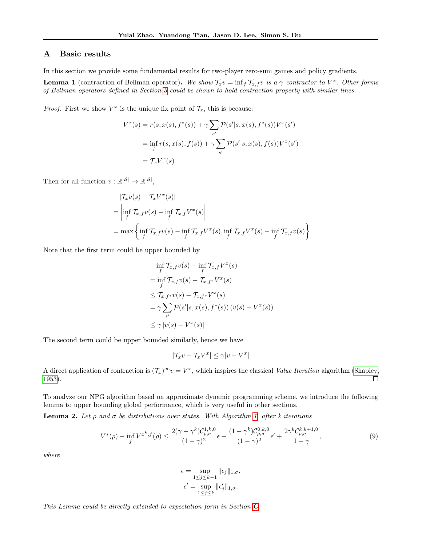### A Basic results

In this section we provide some fundamental results for two-player zero-sum games and policy gradients.

<span id="page-12-0"></span>**Lemma 1** (contraction of Bellman operator). We show  $\mathcal{T}_x v = \inf_f \mathcal{T}_{x,f} v$  is a  $\gamma$  contractor to  $V^x$ . Other forms of Bellman operators defined in Section [3](#page-2-1) could be shown to hold contraction property with similar lines.

*Proof.* First we show  $V^x$  is the unique fix point of  $\mathcal{T}_x$ , this is because:

$$
V^{x}(s) = r(s, x(s), f^{*}(s)) + \gamma \sum_{s'} \mathcal{P}(s'|s, x(s), f^{*}(s))V^{x}(s')
$$
  
=  $\inf_{f} r(s, x(s), f(s)) + \gamma \sum_{s'} \mathcal{P}(s'|s, x(s), f(s))V^{x}(s')$   
=  $\mathcal{T}_{x}V^{x}(s)$ 

Then for all function  $v : \mathbb{R}^{|\mathcal{S}|} \to \mathbb{R}^{|\mathcal{S}|}$ ,

$$
|\mathcal{T}_x v(s) - \mathcal{T}_x V^x(s)|
$$
  
=  $\left| \inf_f \mathcal{T}_{x,f} v(s) - \inf_f \mathcal{T}_{x,f} V^x(s) \right|$   
= max  $\left\{ \inf_f \mathcal{T}_{x,f} v(s) - \inf_f \mathcal{T}_{x,f} V^x(s), \inf_f \mathcal{T}_{x,f} V^x(s) - \inf_f \mathcal{T}_{x,f} v(s) \right\}$ 

Note that the first term could be upper bounded by

$$
\inf_{f} \mathcal{T}_{x,f} v(s) - \inf_{f} \mathcal{T}_{x,f} V^{x}(s)
$$
\n
$$
= \inf_{f} \mathcal{T}_{x,f} v(s) - \mathcal{T}_{x,f^*} V^{x}(s)
$$
\n
$$
\leq \mathcal{T}_{x,f^*} v(s) - \mathcal{T}_{x,f^*} V^{x}(s)
$$
\n
$$
= \gamma \sum_{s'} \mathcal{P}(s'|s, x(s), f^*(s)) (v(s) - V^{x}(s))
$$
\n
$$
\leq \gamma |v(s) - V^{x}(s)|
$$

The second term could be upper bounded similarly, hence we have

$$
|\mathcal{T}_x v - \mathcal{T}_x V^x| \le \gamma |v - V^x|
$$

A direct application of contraction is  $(\mathcal{T}_x)^\infty v = V^x$ , which inspires the classical Value Iteration algorithm [\(Shapley,](#page-10-9) [1953\)](#page-10-9).  $\Box$ 

To analyze our NPG algorithm based on approximate dynamic programming scheme, we introduce the following lemma to upper bounding global performance, which is very useful in other sections.

<span id="page-12-1"></span>**Lemma 2.** Let  $\rho$  and  $\sigma$  be distributions over states. With Algorithm [1,](#page-5-0) after k iterations

$$
V^*(\rho) - \inf_f V^{x^k, f}(\rho) \le \frac{2(\gamma - \gamma^k)\mathcal{C}_{\rho, \sigma}^{1, k, 0}}{(1 - \gamma)^2} \epsilon + \frac{(1 - \gamma^k)\mathcal{C}_{\rho, \sigma}^{0, k, 0}}{(1 - \gamma)^2} \epsilon' + \frac{2\gamma^k \mathcal{C}_{\rho, \sigma}^{k, k+1, 0}}{1 - \gamma},
$$
\n(9)

where

$$
\epsilon = \sup_{1 \le j \le k-1} \|\epsilon_j\|_{1,\sigma},
$$
  

$$
\epsilon' = \sup_{1 \le j \le k} \|\epsilon'_j\|_{1,\sigma}.
$$

This Lemma could be directly extended to expectation form in Section [C.](#page-20-0)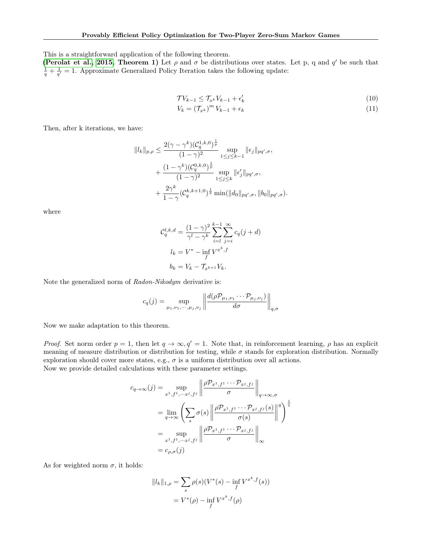This is a straightforward application of the following theorem.

[\(Perolat et al., 2015,](#page-10-4) Theorem 1) Let  $\rho$  and  $\sigma$  be distributions over states. Let p, q and  $q'$  be such that  $\frac{1}{q} + \frac{1}{q'} = 1$ . Approximate Generalized Policy Iteration takes the following update:

$$
\mathcal{T}V_{k-1} \leq \mathcal{T}_{x^k}V_{k-1} + \epsilon'_k \tag{10}
$$

<span id="page-13-1"></span><span id="page-13-0"></span>
$$
V_k = \left(\mathcal{T}_{x^k}\right)^m V_{k-1} + \epsilon_k \tag{11}
$$

Then, after k iterations, we have:

$$
||l_{k}||_{p,\rho} \leq \frac{2(\gamma - \gamma^{k})(\mathcal{C}_{q}^{1,k,0})^{\frac{1}{p}}}{(1 - \gamma)^{2}} \sup_{1 \leq j \leq k-1} ||\epsilon_{j}||_{pq',\sigma},
$$
  
+ 
$$
\frac{(1 - \gamma^{k})(\mathcal{C}_{q}^{0,k,0})^{\frac{1}{p}}}{(1 - \gamma)^{2}} \sup_{1 \leq j \leq k} ||\epsilon'_{j}||_{pq',\sigma},
$$
  
+ 
$$
\frac{2\gamma^{k}}{1 - \gamma}(\mathcal{C}_{q}^{k,k+1,0})^{\frac{1}{p}} \min(||d_{0}||_{pq',\sigma}, ||b_{0}||_{pq',\sigma}).
$$

where

$$
\mathcal{C}_q^{l,k,d} = \frac{(1-\gamma)^2}{\gamma^l - \gamma^k} \sum_{i=l}^{k-1} \sum_{j=i}^{\infty} c_q(j+d)
$$
  

$$
l_k = V^* - \inf_f V^{x^k, f}
$$
  

$$
b_k = V_k - \mathcal{T}_{x^{k+1}} V_k.
$$

Note the generalized norm of Radon-Nikodym derivative is:

$$
c_q(j) = \sup_{\mu_1, \nu_1, \cdots, \mu_j, \nu_j} \left\| \frac{d(\rho \mathcal{P}_{\mu_1, \nu_1} \cdots \mathcal{P}_{\mu_j, \nu_j})}{d\sigma} \right\|_{q, \sigma}
$$

Now we make adaptation to this theorem.

*Proof.* Set norm order  $p = 1$ , then let  $q \to \infty$ ,  $q' = 1$ . Note that, in reinforcement learning,  $\rho$  has an explicit meaning of measure distribution or distribution for testing, while  $\sigma$  stands for exploration distribution. Normally exploration should cover more states, e.g.,  $\sigma$  is a uniform distribution over all actions.

Now we provide detailed calculations with these parameter settings.

$$
c_{q \to \infty}(j) = \sup_{x^1, f^1, \dots, x^j, f^j} \left\| \frac{\rho \mathcal{P}_{x^1, f^1} \cdots \mathcal{P}_{x^j, f^j}}{\sigma} \right\|_{q \to \infty, \sigma}
$$
  
= 
$$
\lim_{q \to \infty} \left( \sum_s \sigma(s) \left\| \frac{\rho \mathcal{P}_{x^1, f^1} \cdots \mathcal{P}_{x^j, f^j}(s)}{\sigma(s)} \right\|^q \right)^{\frac{1}{q}}
$$
  
= 
$$
\sup_{x^1, f^1, \dots, x^j, f^j} \left\| \frac{\rho \mathcal{P}_{x^1, f^1} \cdots \mathcal{P}_{x^j, f^j}}{\sigma} \right\|_{\infty}
$$
  
= 
$$
c_{\rho, \sigma}(j)
$$

As for weighted norm  $\sigma$ , it holds:

$$
||l_k||_{1,\rho} = \sum_s \rho(s) (V^*(s) - \inf_f V^{x^k, f}(s))
$$
  
=  $V^*(\rho) - \inf_f V^{x^k, f}(\rho)$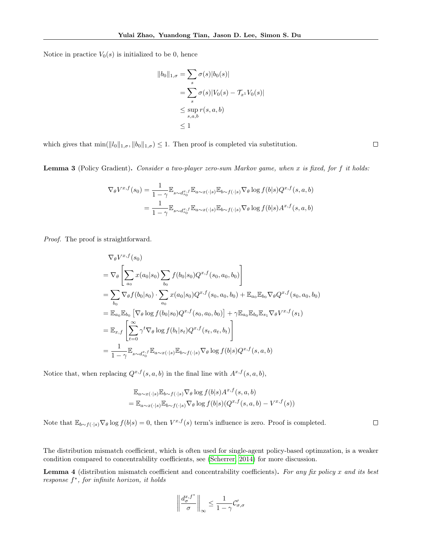Notice in practice  $V_0(s)$  is initialized to be 0, hence

$$
||b_0||_{1,\sigma} = \sum_s \sigma(s)|b_0(s)|
$$
  
= 
$$
\sum_s \sigma(s)|V_0(s) - \mathcal{T}_{x^1}V_0(s)|
$$
  

$$
\leq \sup_{s,a,b} r(s,a,b)
$$
  

$$
\leq 1
$$

which gives that  $\min(||l_0||_{1,\sigma}, ||b_0||_{1,\sigma}) \leq 1$ . Then proof is completed via substitution.

Lemma 3 (Policy Gradient). Consider a two-player zero-sum Markov game, when x is fixed, for f it holds:

$$
\nabla_{\theta} V^{x,f}(s_0) = \frac{1}{1-\gamma} \mathbb{E}_{s \sim d_{s_0}^{x,f}} \mathbb{E}_{a \sim x(\cdot|s)} \mathbb{E}_{b \sim f(\cdot|s)} \nabla_{\theta} \log f(b|s) Q^{x,f}(s, a, b)
$$
  
= 
$$
\frac{1}{1-\gamma} \mathbb{E}_{s \sim d_{s_0}^{x,f}} \mathbb{E}_{a \sim x(\cdot|s)} \mathbb{E}_{b \sim f(\cdot|s)} \nabla_{\theta} \log f(b|s) A^{x,f}(s, a, b)
$$

Proof. The proof is straightforward.

$$
\nabla_{\theta} V^{x,f}(s_{0})
$$
\n
$$
= \nabla_{\theta} \left[ \sum_{a_{0}} x(a_{0}|s_{0}) \sum_{b_{0}} f(b_{0}|s_{0}) Q^{x,f}(s_{0}, a_{0}, b_{0}) \right]
$$
\n
$$
= \sum_{b_{0}} \nabla_{\theta} f(b_{0}|s_{0}) \cdot \sum_{a_{0}} x(a_{0}|s_{0}) Q^{x,f}(s_{0}, a_{0}, b_{0}) + \mathbb{E}_{a_{0}} \mathbb{E}_{b_{0}} \nabla_{\theta} Q^{x,f}(s_{0}, a_{0}, b_{0})
$$
\n
$$
= \mathbb{E}_{a_{0}} \mathbb{E}_{b_{0}} \left[ \nabla_{\theta} \log f(b_{0}|s_{0}) Q^{x,f}(s_{0}, a_{0}, b_{0}) \right] + \gamma \mathbb{E}_{a_{0}} \mathbb{E}_{b_{0}} \mathbb{E}_{s_{1}} \nabla_{\theta} V^{x,f}(s_{1})
$$
\n
$$
= \mathbb{E}_{x,f} \left[ \sum_{t=0}^{\infty} \gamma^{t} \nabla_{\theta} \log f(b_{t}|s_{t}) Q^{x,f}(s_{t}, a_{t}, b_{t}) \right]
$$
\n
$$
= \frac{1}{1 - \gamma} \mathbb{E}_{s \sim d_{s_{0}}^{x,f}} \mathbb{E}_{a \sim x(\cdot|s)} \mathbb{E}_{b \sim f(\cdot|s)} \nabla_{\theta} \log f(b|s) Q^{x,f}(s, a, b)
$$

Notice that, when replacing  $Q^{x,f}(s, a, b)$  in the final line with  $A^{x,f}(s, a, b)$ ,

$$
\mathbb{E}_{a \sim x(\cdot|s)} \mathbb{E}_{b \sim f(\cdot|s)} \nabla_{\theta} \log f(b|s) A^{x,f}(s, a, b)
$$
  
= 
$$
\mathbb{E}_{a \sim x(\cdot|s)} \mathbb{E}_{b \sim f(\cdot|s)} \nabla_{\theta} \log f(b|s) (Q^{x,f}(s, a, b) - V^{x,f}(s))
$$

Note that  $\mathbb{E}_{b \sim f(\cdot | s)} \nabla_{\theta} \log f(b | s) = 0$ , then  $V^{x,f}(s)$  term's influence is zero. Proof is completed.

The distribution mismatch coefficient, which is often used for single-agent policy-based optimzation, is a weaker condition compared to concentrability coefficients, see [\(Scherrer, 2014\)](#page-10-18) for more discussion.

<span id="page-14-0"></span>Lemma 4 (distribution mismatch coefficient and concentrability coefficients). For any fix policy  $x$  and its best response f ∗ , for infinite horizon, it holds

$$
\left\|\frac{d_{\sigma}^{x,f^*}}{\sigma}\right\|_{\infty} \le \frac{1}{1-\gamma}\mathcal{C}'_{\sigma,\sigma}
$$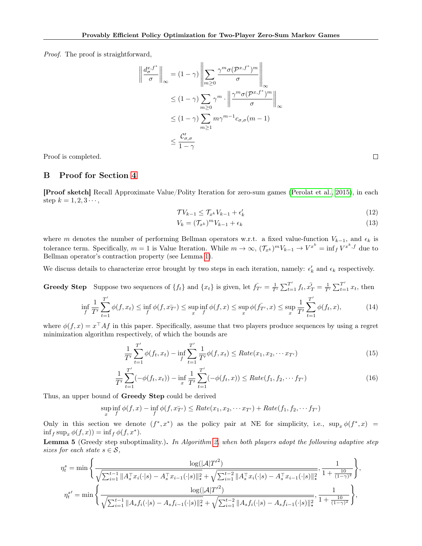Proof. The proof is straightforward,

$$
\left\| \frac{d_{\sigma}^{x,f^*}}{\sigma} \right\|_{\infty} = (1 - \gamma) \left\| \sum_{m \ge 0} \frac{\gamma^m \sigma(p^{x,f^*})^m}{\sigma} \right\|_{\infty}
$$
  

$$
\le (1 - \gamma) \sum_{m \ge 0} \gamma^m \cdot \left\| \frac{\gamma^m \sigma(p^{x,f^*})^m}{\sigma} \right\|_{\infty}
$$
  

$$
\le (1 - \gamma) \sum_{m \ge 1} m \gamma^{m-1} c_{\sigma,\sigma}(m-1)
$$
  

$$
\le \frac{C'_{\sigma,\sigma}}{1 - \gamma}
$$

Proof is completed.

## <span id="page-15-0"></span>B Proof for Section [4](#page-4-0)

[Proof sketch] Recall Approximate Value/Polity Iteration for zero-sum games [\(Perolat et al., 2015\)](#page-10-4), in each step  $k = 1, 2, 3 \cdots$ ,

$$
\mathcal{T}V_{k-1} \leq \mathcal{T}_{x^k}V_{k-1} + \epsilon'_k \tag{12}
$$

<span id="page-15-1"></span>
$$
V_k = (\mathcal{T}_{x^k})^m V_{k-1} + \epsilon_k \tag{13}
$$

where m denotes the number of performing Bellman operators w.r.t. a fixed value-function  $V_{k-1}$ , and  $\epsilon_k$  is tolerance term. Specifically,  $m = 1$  is Value Iteration. While  $m \to \infty$ ,  $(\mathcal{T}_{x^k})^m V_{k-1} \to V^{x^k} = \inf_f V^{x^k, f}$  due to Bellman operator's contraction property (see Lemma [1\)](#page-12-0).

We discuss details to characterize error brought by two steps in each iteration, namely:  $\epsilon'_k$  and  $\epsilon_k$  respectively.

Greedy Step Suppose two sequences of  $\{f_t\}$  and  $\{x_t\}$  is given, let  $\bar{f}_{T'} = \frac{1}{T'} \sum_{t=1}^{T'} f_t, \bar{x'}_T = \frac{1}{T'} \sum_{t=1}^{T'} x_t$ , then

$$
\inf_{f} \frac{1}{T'} \sum_{t=1}^{T'} \phi(f, x_t) \le \inf_{f} \phi(f, x_{T'}^-) \le \sup_{x} \inf_{f} \phi(f, x) \le \sup_{x} \phi(\bar{f}_{T'}, x) \le \sup_{x} \frac{1}{T'} \sum_{t=1}^{T'} \phi(f_t, x), \tag{14}
$$

where  $\phi(f, x) = x^{\top} A f$  in this paper. Specifically, assume that two players produce sequences by using a regret minimization algorithm respectively, of which the bounds are

$$
\frac{1}{T'}\sum_{t=1}^{T'} \phi(f_t, x_t) - \inf_f \sum_{t=1}^{T'} \frac{1}{T'} \phi(f, x_t) \le Rate(x_1, x_2, \cdots x_{T'})
$$
\n(15)

$$
\frac{1}{T'}\sum_{t=1}^{T'}(-\phi(f_t, x_t)) - \inf_x \frac{1}{T'}\sum_{t=1}^{T'}(-\phi(f_t, x)) \le Rate(f_1, f_2, \cdots f_{T'})
$$
\n(16)

Thus, an upper bound of Greedy Step could be derived

$$
\sup_x \inf_f \phi(f, x) - \inf_f \phi(f, x_{T'}^-) \leq Rate(x_1, x_2, \cdots x_{T'}) + Rate(f_1, f_2, \cdots f_{T'})
$$

Only in this section we denote  $(f^*, x^*)$  as the policy pair at NE for simplicity, i.e.,  $\sup_x \phi(f^*, x) =$  $\inf_f \sup_x \phi(f, x) = \inf_f \phi(f, x^*).$ 

<span id="page-15-2"></span>Lemma 5 (Greedy step suboptimality.). In Algorithm [2,](#page-5-1) when both players adopt the following adaptive step sizes for each state  $s \in \mathcal{S}$ ,

$$
\eta_t^s = \min \left\{ \frac{\log(|\mathcal{A}|T'^2)}{\sqrt{\sum_{i=1}^{t-1} ||A_s^{\top} x_i(\cdot|s) - A_s^{\top} x_{i-1}(\cdot|s)||_{\star}^2} + \sqrt{\sum_{i=1}^{t-2} ||A_s^{\top} x_i(\cdot|s) - A_s^{\top} x_{i-1}(\cdot|s)||_{\star}^2}}, \frac{1}{1 + \frac{10}{(1-\gamma)^2}} \right\},
$$

$$
\eta_t^{s'} = \min \left\{ \frac{\log(|\mathcal{A}|T'^2)}{\sqrt{\sum_{i=1}^{t-1} ||A_s f_i(\cdot|s) - A_s f_{i-1}(\cdot|s)||_{\star}^2} + \sqrt{\sum_{i=1}^{t-2} ||A_s f_i(\cdot|s) - A_s f_{i-1}(\cdot|s)||_{\star}^2}}, \frac{1}{1 + \frac{10}{(1-\gamma)^2}} \right\},
$$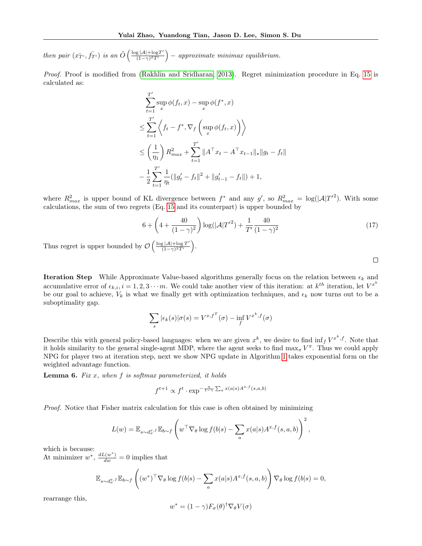then pair  $(x_{T}^-, f_{T}^-)$  is an  $\tilde{O}\left(\frac{\log |\mathcal{A}| + \log T'}{(1 - \gamma)^2 T'}\right)$  $\frac{g|\mathcal{A}| + \log T'}{(1-\gamma)^2 T'}$  – approximate minimax equilibrium.

Proof. Proof is modified from [\(Rakhlin and Sridharan, 2013\)](#page-10-5). Regret minimization procedure in Eq. [15](#page-15-1) is calculated as:

$$
\sum_{t=1}^{T'} \sup_x \phi(f_t, x) - \sup_x \phi(f^*, x)
$$
\n
$$
\leq \sum_{t=1}^{T'} \left\langle f_t - f^*, \nabla_f \left( \sup_x \phi(f_t, x) \right) \right\rangle
$$
\n
$$
\leq \left( \frac{1}{\eta_1} \right) R_{max}^2 + \sum_{t=1}^{T'} ||A^\top x_t - A^\top x_{t-1}||_* ||g_t - f_t||
$$
\n
$$
- \frac{1}{2} \sum_{t=1}^{T'} \frac{1}{\eta_t} (||g_t' - f_t||^2 + ||g_{t-1}' - f_t||) + 1,
$$

where  $R_{max}^2$  is upper bound of KL divergence between  $f^*$  and any  $g'$ , so  $R_{max}^2 = \log(|A|T'^2)$ . With some calculations, the sum of two regrets (Eq. [15](#page-15-1) and its counterpart) is upper bounded by

$$
6 + \left(4 + \frac{40}{(1-\gamma)^2}\right) \log(|\mathcal{A}|T'^2) + \frac{1}{T'} \frac{40}{(1-\gamma)^2}
$$
\n(17)

 $\Box$ 

Thus regret is upper bounded by  $\mathcal{O}\left(\frac{\log |\mathcal{A}| + \log T'}{(1 - \gamma)^2 T'}\right)$  $\frac{g|\mathcal{A}| + \log T'}{(1-\gamma)^2 T'}$ .

**Iteration Step** While Approximate Value-based algorithms generally focus on the relation between  $\epsilon_k$  and accumulative error of  $\epsilon_{k,i}$ ,  $i = 1, 2, 3 \cdots m$ . We could take another view of this iteration: at  $k^{th}$  iteration, let  $V^{x^k}$ be our goal to achieve,  $V_k$  is what we finally get with optimization techniques, and  $\epsilon_k$  now turns out to be a suboptimality gap.

$$
\sum_{s} |\epsilon_{k}(s)| \sigma(s) = V^{x, f^{T}}(\sigma) - \inf_{f} V^{x^{k}, f}(\sigma)
$$

Describe this with general policy-based languages: when we are given  $x^k$ , we desire to find  $\inf_f V^{x^k,f}$ . Note that it holds similarity to the general single-agent MDP, where the agent seeks to find  $\max_{\pi} V^{\pi}$ . Thus we could apply NPG for player two at iteration step, next we show NPG update in Algorithm [1](#page-5-0) takes exponential form on the weighted advantage function.

**Lemma 6.** Fix  $x$ , when  $f$  is softmax parameterized, it holds

$$
f^{t+1} \propto f^t \cdot \exp^{-\frac{\eta}{1-\gamma} \sum_a x(a|s) A^{x,f}(s,a,b)}
$$

Proof. Notice that Fisher matrix calculation for this case is often obtained by minimizing

$$
L(w) = \mathbb{E}_{s \sim d_{\sigma}^{x},f} \mathbb{E}_{b \sim f} \left( w^{\top} \nabla_{\theta} \log f(b|s) - \sum_{a} x(a|s) A^{x,f}(s,a,b) \right)^{2},
$$

which is because:

At minimizer  $w^*$ ,  $\frac{dL(w^*)}{dw} = 0$  implies that

$$
\mathbb{E}_{s \sim d_{\sigma}^{x,f}} \mathbb{E}_{b \sim f} \left( (w^*)^{\top} \nabla_{\theta} \log f(b|s) - \sum_{a} x(a|s) A^{x,f}(s,a,b) \right) \nabla_{\theta} \log f(b|s) = 0,
$$

rearrange this,

$$
w^* = (1 - \gamma) F_{\sigma}(\theta)^{\dagger} \nabla_{\theta} V(\sigma)
$$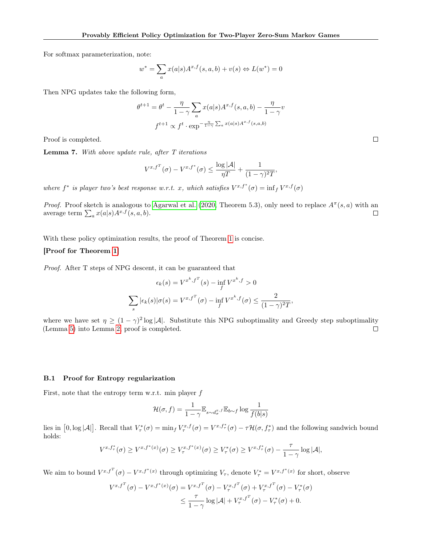For softmax parameterization, note:

$$
w^* = \sum_a x(a|s)A^{x,f}(s,a,b) + v(s) \Leftrightarrow L(w^*) = 0
$$

Then NPG updates take the following form,

$$
\theta^{t+1} = \theta^t - \frac{\eta}{1-\gamma} \sum_a x(a|s) A^{x,f}(s,a,b) - \frac{\eta}{1-\gamma} v
$$

$$
f^{t+1} \propto f^t \cdot \exp^{-\frac{\eta}{1-\gamma} \sum_a x(a|s) A^{x,f}(s,a,b)}
$$

Proof is completed.

<span id="page-17-0"></span>**Lemma 7.** With above update rule, after  $T$  iterations

$$
V^{x,f^T}(\sigma) - V^{x,f^*}(\sigma) \le \frac{\log |\mathcal{A}|}{\eta T} + \frac{1}{(1-\gamma)^2 T},
$$

where  $f^*$  is player two's best response w.r.t. x, which satisfies  $V^{x,f^*}(\sigma) = \inf_f V^{x,f}(\sigma)$ 

*Proof.* Proof sketch is analogous to [Agarwal et al.](#page-8-0) [\(2020,](#page-8-0) Theorem 5.3), only need to replace  $A^{\pi}(s, a)$  with an average term  $\sum_a x(a|s) A^{x,f}(s,a,b)$ .  $\Box$ 

With these policy optimization results, the proof of Theorem [1](#page-5-3) is concise.

### [Proof for Theorem [1\]](#page-5-3)

Proof. After T steps of NPG descent, it can be guaranteed that

$$
\epsilon_k(s) = V^{x^k, f^T}(s) - \inf_f V^{x^k, f} > 0
$$

$$
\sum_s |\epsilon_k(s)| \sigma(s) = V^{x, f^T}(\sigma) - \inf_f V^{x^k, f}(\sigma) \le \frac{2}{(1 - \gamma)^2 T},
$$

where we have set  $\eta \geq (1-\gamma)^2 \log |\mathcal{A}|$ . Substitute this NPG suboptimality and Greedy step suboptimality (Lemma [5\)](#page-15-2) into Lemma [2,](#page-12-1) proof is completed.  $\Box$ 

### <span id="page-17-1"></span>B.1 Proof for Entropy regularization

First, note that the entropy term w.r.t. min player  $f$ 

$$
\mathcal{H}(\sigma, f) = \frac{1}{1 - \gamma} \mathbb{E}_{s \sim d_{\sigma}^{x, f}} \mathbb{E}_{b \sim f} \log \frac{1}{f(b|s)}
$$

lies in  $[0, \log |\mathcal{A}|]$ . Recall that  $V^*_{\tau}(\sigma) = \min_f V^{x,f}_{\tau}(\sigma) = V^{x,f^*_{\tau}}(\sigma) - \tau \mathcal{H}(\sigma, f^*_{\tau})$  and the following sandwich bound holds:

$$
V^{x,f^*_{\tau}}(\sigma) \geq V^{x,f^*(x)}(\sigma) \geq V^{x,f^*(x)}_{\tau}(\sigma) \geq V^{*}_{\tau}(\sigma) \geq V^{x,f^*_{\tau}}(\sigma) - \frac{\tau}{1-\gamma} \log |\mathcal{A}|,
$$

We aim to bound  $V^{x,f^T}(\sigma) - V^{x,f^*(x)}$  through optimizing  $V_\tau$ , denote  $V_\tau^* = V^{x,f^*(x)}$  for short, observe

$$
V^{x,f^T}(\sigma) - V^{x,f^*(x)}(\sigma) = V^{x,f^T}(\sigma) - V^{x,f^T}_{\tau}(\sigma) + V^{x,f^T}_{\tau}(\sigma) - V^{*}_{\tau}(\sigma)
$$
  

$$
\leq \frac{\tau}{1-\gamma} \log |\mathcal{A}| + V^{x,f^T}_{\tau}(\sigma) - V^{*}_{\tau}(\sigma) + 0.
$$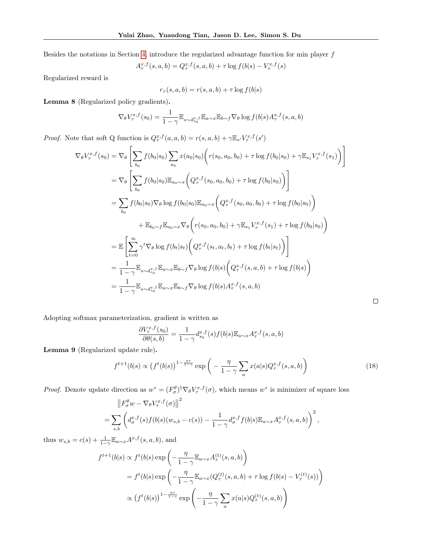Besides the notations in Section [4,](#page-4-0) introduce the regularized advantage function for min player  $f$ 

$$
A_{\tau}^{x,f}(s,a,b) = Q_{\tau}^{x,f}(s,a,b) + \tau \log f(b|s) - V_{\tau}^{x,f}(s)
$$

Regularized reward is

 $r_{\tau}(s, a, b) = r(s, a, b) + \tau \log f(b|s)$ 

Lemma 8 (Regularized policy gradients).

$$
\nabla_{\theta} V_{\tau}^{x,f}(s_0) = \frac{1}{1-\gamma} \mathbb{E}_{s \sim d_{s_0}^x f} \mathbb{E}_{a \sim x} \mathbb{E}_{b \sim f} \nabla_{\theta} \log f(b|s) A_{\tau}^{x,f}(s, a, b)
$$

*Proof.* Note that soft Q function is  $Q_{\tau}^{x,f}(a, a, b) = r(s, a, b) + \gamma \mathbb{E}_{s'} V_{\tau}^{x,f}(s')$ 

$$
\nabla_{\theta} V_{\tau}^{x,f}(s_{0}) = \nabla_{\theta} \left[ \sum_{b_{0}} f(b_{0}|s_{0}) \sum_{a_{0}} x(a_{0}|s_{0}) \Big( r(s_{0}, a_{0}, b_{0}) + \tau \log f(b_{0}|s_{0}) + \gamma \mathbb{E}_{s_{1}} V_{\tau}^{x,f}(s_{1}) \Big) \right]
$$
  
\n
$$
= \nabla_{\theta} \left[ \sum_{b_{0}} f(b_{0}|s_{0}) \mathbb{E}_{a_{0} \sim x} \Big( Q_{\tau}^{x,f}(s_{0}, a_{0}, b_{0}) + \tau \log f(b_{0}|s_{0}) \Big) \right]
$$
  
\n
$$
= \sum_{b_{0}} f(b_{0}|s_{0}) \nabla_{\theta} \log f(b_{0}|s_{0}) \mathbb{E}_{a_{0} \sim x} \Big( Q_{\tau}^{x,f}(s_{0}, a_{0}, b_{0}) + \tau \log f(b_{0}|s_{0}) \Big)
$$
  
\n
$$
+ \mathbb{E}_{b_{0} \sim f} \mathbb{E}_{a_{0} \sim x} \nabla_{\theta} \Big( r(s_{0}, a_{0}, b_{0}) + \gamma \mathbb{E}_{s_{1}} V_{\tau}^{x,f}(s_{1}) + \tau \log f(b_{0}|s_{0}) \Big)
$$
  
\n
$$
= \mathbb{E} \Bigg[ \sum_{t=0}^{\infty} \gamma^{t} \nabla_{\theta} \log f(b_{t}|s_{t}) \Big( Q_{\tau}^{x,f}(s_{t}, a_{t}, b_{t}) + \tau \log f(b_{t}|s_{t}) \Big) \Bigg]
$$
  
\n
$$
= \frac{1}{1 - \gamma} \mathbb{E}_{s \sim d_{s_{0}}^{x,f}} \mathbb{E}_{a \sim x} \mathbb{E}_{b \sim f} \nabla_{\theta} \log f(b|s) \Big( Q_{\tau}^{x,f}(s, a, b) + \tau \log f(b|s) \Big)
$$
  
\n
$$
= \frac{1}{1 - \gamma} \mathbb{E}_{s \sim d_{s_{0}}^{x,f}} \mathbb{E}_{a \sim x} \mathbb{E}_{b \sim f} \nabla_{\theta} \log f(b|s) A_{\tau}^{x,f}(s, a, b)
$$

Adopting softmax parameterization, gradient is written as

$$
\frac{\partial V_{\tau}^{x,f}(s_0)}{\partial \theta(s,b)} = \frac{1}{1-\gamma} d_{s_0}^{x,f}(s) f(b|s) \mathbb{E}_{a \sim x} A_{\tau}^{x,f}(s,a,b)
$$

Lemma 9 (Regularized update rule).

$$
f^{t+1}(b|s) \propto \left(f^t(b|s)\right)^{1-\frac{\eta\tau}{1-\gamma}} \exp\left(-\frac{\eta}{1-\gamma} \sum_a x(a|s) Q_\tau^{x,f}(s,a,b)\right) \tag{18}
$$

 $\Box$ 

*Proof.* Denote update direction as  $w^* = (F^{\theta}_{\sigma})^{\dagger} \nabla_{\theta} V^{x,f}_{\tau}(\sigma)$ , which means  $w^*$  is minimizer of square loss

$$
\left\|F_{\sigma}^{\theta}w - \nabla_{\theta}V_{\tau}^{x,f}(\sigma)\right\|^{2}
$$
  
= 
$$
\sum_{s,b} \left(d_{\sigma}^{x,f}(s)f(b|s)(w_{s,b} - c(s)) - \frac{1}{1 - \gamma}d_{\sigma}^{x,f}f(b|s)\mathbb{E}_{a \sim x}A_{\tau}^{x,f}(s,a,b)\right)^{2},
$$

thus  $w_{s,b} = c(s) + \frac{1}{1-\gamma} \mathbb{E}_{a \sim x} A^{x,f}(s, a, b)$ , and

$$
f^{t+1}(b|s) \propto f^t(b|s) \exp\left(-\frac{\eta}{1-\gamma} \mathbb{E}_{a\sim x} A^{(t)}_\tau(s, a, b)\right)
$$
  
=  $f^t(b|s) \exp\left(-\frac{\eta}{1-\gamma} \mathbb{E}_{a\sim x} (Q^{(t)}_\tau(s, a, b) + \tau \log f(b|s) - V^{(t)}_\tau(s))\right)$   
 $\propto (f^t(b|s))^{1-\frac{\eta\tau}{1-\gamma}} \exp\left(-\frac{\eta}{1-\gamma} \sum_a x(a|s) Q^{(t)}_\tau(s, a, b)\right)$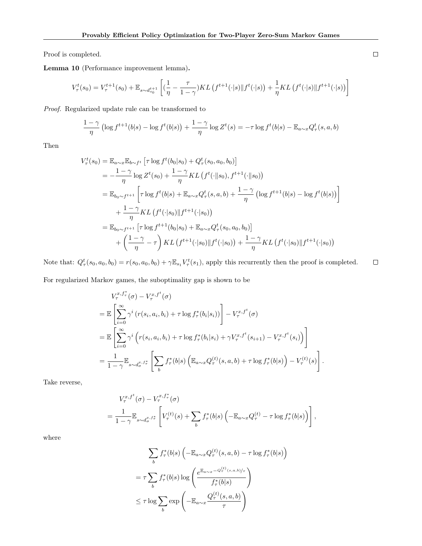Proof is completed.

Lemma 10 (Performance improvement lemma).

$$
V_{\tau}^{t}(s_0) = V_{\tau}^{t+1}(s_0) + \mathbb{E}_{s \sim d_{s_0}^{t+1}} \left[ \left( \frac{1}{\eta} - \frac{\tau}{1-\gamma} \right) KL\left(f^{t+1}(\cdot|s) \| f^t(\cdot|s) \right) + \frac{1}{\eta} KL\left(f^t(\cdot|s) \| f^{t+1}(\cdot|s) \right) \right]
$$

Proof. Regularized update rule can be transformed to

$$
\frac{1-\gamma}{\eta} \left( \log f^{t+1}(b|s) - \log f^t(b|s) \right) + \frac{1-\gamma}{\eta} \log Z^t(s) = -\tau \log f^t(b|s) - \mathbb{E}_{a \sim x} Q^t_\tau(s, a, b)
$$

Then

$$
V_{\tau}^{t}(s_{0}) = \mathbb{E}_{a \sim x} \mathbb{E}_{b \sim f^{t}} \left[ \tau \log f^{t}(b_{0}|s_{0}) + Q_{\tau}^{t}(s_{0}, a_{0}, b_{0}) \right]
$$
  
\n
$$
= -\frac{1-\gamma}{\eta} \log Z^{t}(s_{0}) + \frac{1-\gamma}{\eta} KL \left( f^{t}(\cdot || s_{0}), f^{t+1}(\cdot || s_{0}) \right)
$$
  
\n
$$
= \mathbb{E}_{b_{0} \sim f^{t+1}} \left[ \tau \log f^{t}(b|s) + \mathbb{E}_{a \sim x} Q_{\tau}^{t}(s, a, b) + \frac{1-\gamma}{\eta} \left( \log f^{t+1}(b|s) - \log f^{t}(b|s) \right) \right]
$$
  
\n
$$
+ \frac{1-\gamma}{\eta} KL \left( f^{t}(\cdot | s_{0}) || f^{t+1}(\cdot | s_{0}) \right)
$$
  
\n
$$
= \mathbb{E}_{b_{0} \sim f^{t+1}} \left[ \tau \log f^{t+1}(b_{0}|s_{0}) + \mathbb{E}_{a \sim x} Q_{\tau}^{t}(s_{0}, a_{0}, b_{0}) \right]
$$
  
\n
$$
+ \left( \frac{1-\gamma}{\eta} - \tau \right) KL \left( f^{t+1}(\cdot | s_{0}) || f^{t}(\cdot | s_{0}) \right) + \frac{1-\gamma}{\eta} KL \left( f^{t}(\cdot | s_{0}) || f^{t+1}(\cdot | s_{0}) \right)
$$

Note that:  $Q_{\tau}^{t}(s_0, a_0, b_0) = r(s_0, a_0, b_0) + \gamma \mathbb{E}_{s_1} V_{\tau}^{t}(s_1)$ , apply this recurrently then the proof is completed.  $\Box$ 

For regularized Markov games, the suboptimality gap is shown to be

$$
V_{\tau}^{x, f_{\tau}^{*}}(\sigma) - V_{\tau}^{x, f^{t}}(\sigma)
$$
  
=  $\mathbb{E}\left[\sum_{i=0}^{\infty} \gamma^{i} (r(s_{i}, a_{i}, b_{i}) + \tau \log f_{\tau}^{*}(b_{i}|s_{i}))\right] - V_{\tau}^{x, f^{t}}(\sigma)$   
=  $\mathbb{E}\left[\sum_{i=0}^{\infty} \gamma^{i} (r(s_{i}, a_{i}, b_{i}) + \tau \log f_{\tau}^{*}(b_{i}|s_{i}) + \gamma V_{\tau}^{x, f^{t}}(s_{i+1}) - V_{\tau}^{x, f^{t}}(s_{i}))\right]$   
=  $\frac{1}{1-\gamma} \mathbb{E}_{s \sim d_{\sigma}^{x, f_{\tau}^{*}}} \left[\sum_{b} f_{\tau}^{*}(b|s) \left(\mathbb{E}_{a \sim x} Q_{\tau}^{(t)}(s, a, b) + \tau \log f_{\tau}^{*}(b|s)\right) - V_{\tau}^{(t)}(s)\right].$ 

Take reverse,

$$
V_{\tau}^{x,f^t}(\sigma) - V_{\tau}^{x,f^*_{\tau}}(\sigma)
$$
  
= 
$$
\frac{1}{1-\gamma} \mathbb{E}_{s \sim d_{\sigma}^{x,f^*_{\tau}}} \left[ V_{\tau}^{(t)}(s) + \sum_{b} f_{\tau}^*(b|s) \left( -\mathbb{E}_{a \sim x} Q_{\tau}^{(t)} - \tau \log f_{\tau}^*(b|s) \right) \right],
$$

where

$$
\sum_{b} f_{\tau}^{*}(b|s) \left( -\mathbb{E}_{a \sim x} Q_{\tau}^{(t)}(s, a, b) - \tau \log f_{\tau}^{*}(b|s) \right)
$$

$$
= \tau \sum_{b} f_{\tau}^{*}(b|s) \log \left( \frac{e^{\mathbb{E}_{a \sim x} - Q_{\tau}^{(t)}(s, a, b)/\tau}}{f_{\tau}^{*}(b|s)} \right)
$$

$$
\leq \tau \log \sum_{b} \exp \left( -\mathbb{E}_{a \sim x} \frac{Q_{\tau}^{(t)}(s, a, b)}{\tau} \right)
$$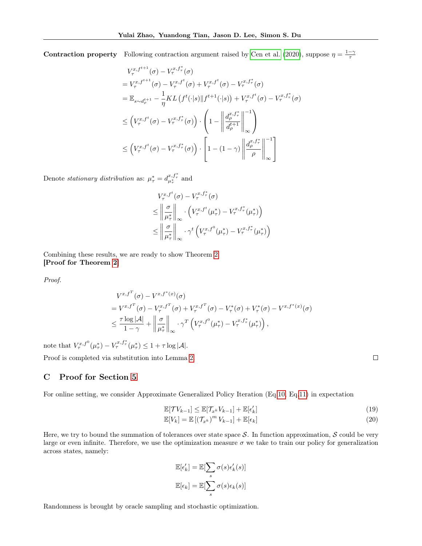**Contraction property** Following contraction argument raised by [Cen et al.](#page-9-4) [\(2020\)](#page-9-4), suppose  $\eta = \frac{1-\gamma}{\tau}$ 

$$
V_{\tau}^{x, f^{t+1}}(\sigma) - V_{\tau}^{x, f^*}(\sigma)
$$
  
\n
$$
= V_{\tau}^{x, f^{t+1}}(\sigma) - V_{\tau}^{x, f^*}(\sigma) + V_{\tau}^{x, f^*}(\sigma) - V_{\tau}^{x, f^*}(\sigma)
$$
  
\n
$$
= \mathbb{E}_{s \sim d_{\rho}^{t+1}} - \frac{1}{\eta} KL(f^t(\cdot|s) || f^{t+1}(\cdot|s)) + V_{\tau}^{x, f^*}(\sigma) - V_{\tau}^{x, f^*}(\sigma)
$$
  
\n
$$
\leq (V_{\tau}^{x, f^t}(\sigma) - V_{\tau}^{x, f^*}(\sigma)) \cdot \left(1 - \left\| \frac{d_{\rho}^{x, f^*}}{d_{\rho}^{t+1}} \right\|_{\infty}^{-1}\right)
$$
  
\n
$$
\leq (V_{\tau}^{x, f^t}(\sigma) - V_{\tau}^{x, f^*}(\sigma)) \cdot \left[1 - (1 - \gamma) \left\| \frac{d_{\rho}^{x, f^*}}{\rho} \right\|_{\infty}^{-1}\right]
$$

Denote *stationary distribution* as:  $\mu_{\tau}^* = d_{\mu_{\tau}^*}^{x, f_{\tau}^*}$  and

$$
V_{\tau}^{x,f^{t}}(\sigma) - V_{\tau}^{x,f_{\tau}^{*}}(\sigma)
$$
  
\n
$$
\leq \left\| \frac{\sigma}{\mu_{\tau}^{*}} \right\|_{\infty} \cdot \left( V_{\tau}^{x,f^{t}}(\mu_{\tau}^{*}) - V_{\tau}^{x,f_{\tau}^{*}}(\mu_{\tau}^{*}) \right)
$$
  
\n
$$
\leq \left\| \frac{\sigma}{\mu_{\tau}^{*}} \right\|_{\infty} \cdot \gamma^{t} \left( V_{\tau}^{x,f^{0}}(\mu_{\tau}^{*}) - V_{\tau}^{x,f_{\tau}^{*}}(\mu_{\tau}^{*}) \right)
$$

Combining these results, we are ready to show Theorem [2.](#page-6-1) [Proof for Theorem [2\]](#page-6-1)

Proof.

$$
V^{x,f^T}(\sigma) - V^{x,f^*(x)}(\sigma)
$$
  
=  $V^{x,f^T}(\sigma) - V^{x,f^T}_{\tau}(\sigma) + V^{x,f^T}_{\tau}(\sigma) - V^{*}_{\tau}(\sigma) + V^{*}_{\tau}(\sigma) - V^{x,f^*(x)}(\sigma)$   

$$
\leq \frac{\tau \log |\mathcal{A}|}{1-\gamma} + \left\| \frac{\sigma}{\mu_{\tau}^*} \right\|_{\infty} \cdot \gamma^T \left( V^{x,f^0}_{\tau}(\mu_{\tau}^*) - V^{x,f^*}_{\tau}(\mu_{\tau}^*) \right),
$$

note that  $V_{\tau}^{x,f^0}(\mu_{\tau}^*) - V_{\tau}^{x,f_{\tau}^*}(\mu_{\tau}^*) \leq 1 + \tau \log |\mathcal{A}|.$ 

Proof is completed via substitution into Lemma [2.](#page-12-1)

## <span id="page-20-0"></span>C Proof for Section [5](#page-6-0)

For online setting, we consider Approximate Generalized Policy Iteration (Eq[.10,](#page-13-0) Eq[.11\)](#page-13-1) in expectation

$$
\mathbb{E}[\mathcal{T}V_{k-1}] \leq \mathbb{E}[\mathcal{T}_{x^k}V_{k-1}] + \mathbb{E}[\epsilon_k'] \tag{19}
$$

$$
\mathbb{E}[V_k] = \mathbb{E}\left[\left(\mathcal{T}_{x^k}\right)^m V_{k-1}\right] + \mathbb{E}[\epsilon_k]
$$
\n(20)

Here, we try to bound the summation of tolerances over state space  $S$ . In function approximation,  $S$  could be very large or even infinite. Therefore, we use the optimization measure  $\sigma$  we take to train our policy for generalization across states, namely:

$$
\mathbb{E}[\epsilon'_k] = \mathbb{E}[\sum_s \sigma(s)\epsilon'_k(s)]
$$

$$
\mathbb{E}[\epsilon_k] = \mathbb{E}[\sum_s \sigma(s)\epsilon_k(s)]
$$

Randomness is brought by oracle sampling and stochastic optimization.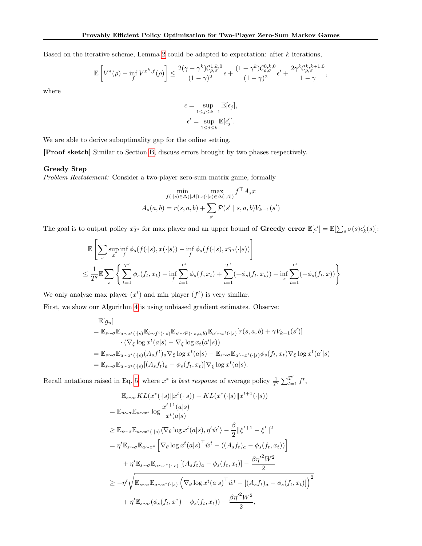Based on the iterative scheme, Lemma [2](#page-12-1) could be adapted to expectation: after  $k$  iterations,

$$
\mathbb{E}\left[V^*(\rho) - \inf_f V^{x^k,f}(\rho)\right] \le \frac{2(\gamma - \gamma^k)\mathcal{C}_{\rho,\sigma}^{1,k,0}}{(1-\gamma)^2}\epsilon + \frac{(1-\gamma^k)\mathcal{C}_{\rho,\sigma}^{0,k,0}}{(1-\gamma)^2}\epsilon' + \frac{2\gamma^k\mathcal{C}_{\rho,\sigma}^{k,k+1,0}}{1-\gamma},
$$

where

$$
\epsilon = \sup_{1 \le j \le k-1} \mathbb{E}[\epsilon_j],
$$
  

$$
\epsilon' = \sup_{1 \le j \le k} \mathbb{E}[\epsilon'_j].
$$

We are able to derive suboptimality gap for the online setting.

[Proof sketch] Similar to Section [B,](#page-15-0) discuss errors brought by two phases respectively.

### Greedy Step

Problem Restatement: Consider a two-player zero-sum matrix game, formally

$$
\min_{f(\cdot|s)\in\Delta(|\mathcal{A}|)} \max_{x(\cdot|s)\in\Delta(|\mathcal{A}|)} f^{\top} A_s x
$$

$$
A_s(a,b) = r(s,a,b) + \sum_{s'} \mathcal{P}(s' \mid s,a,b)V_{k-1}(s')
$$

The goal is to output policy  $x_{T'}^-$  for max player and an upper bound of **Greedy error**  $\mathbb{E}[\epsilon'] = \mathbb{E}[\sum_s \sigma(s)\epsilon'_k(s)]$ :

$$
\mathbb{E}\left[\sum_{s}\sup_{x}\inf_{f}\phi_{s}(f(\cdot|s),x(\cdot|s))-\inf_{f}\phi_{s}(f(\cdot|s),x_{T'}(\cdot|s))\right]
$$
\n
$$
\leq \frac{1}{T'}\mathbb{E}\sum_{s}\left\{\sum_{t=1}^{T'}\phi_{s}(f_{t},x_{t})-\inf_{f}\sum_{t=1}^{T'}\phi_{s}(f,x_{t})+\sum_{t=1}^{T'}(-\phi_{s}(f_{t},x_{t}))-\inf_{x}\sum_{t=1}^{T'}(-\phi_{s}(f_{t},x))\right\}
$$

We only analyze max player  $(x<sup>t</sup>)$  and min player  $(f<sup>t</sup>)$  is very similar.

First, we show our Algorithm [4](#page-8-7) is using unbiased gradient estimates. Observe:

$$
\mathbb{E}[g_n] = \mathbb{E}_{s \sim \sigma} \mathbb{E}_{a \sim x^t(\cdot|s)} \mathbb{E}_{b \sim f^t(\cdot|s)} \mathbb{E}_{s' \sim \mathcal{P}(\cdot|s,a,b)} \mathbb{E}_{a' \sim x^t(\cdot|s)} [r(s,a,b) + \gamma V_{k-1}(s')]
$$
  
\n
$$
\cdot (\nabla_{\xi} \log x^t(a|s) - \nabla_{\xi} \log x_t(a'|s))
$$
  
\n
$$
= \mathbb{E}_{s \sim \sigma} \mathbb{E}_{a \sim x^t(\cdot|s)} (A_s f^t)_a \nabla_{\xi} \log x^t(a|s) - \mathbb{E}_{s \sim \sigma} \mathbb{E}_{a' \sim x^t(\cdot|s)} \phi_s(f_t, x_t) \nabla_{\xi} \log x^t(a'|s)
$$
  
\n
$$
= \mathbb{E}_{s \sim \sigma} \mathbb{E}_{a \sim x^t(\cdot|s)} [(A_s f_t)_a - \phi_s(f_t, x_t)] \nabla_{\xi} \log x^t(a|s).
$$

Recall notations raised in Eq. [5,](#page-5-5) where  $x^*$  is *best response* of average policy  $\frac{1}{T'}\sum_{t=1}^{T'} f^t$ ,

$$
\mathbb{E}_{s \sim \sigma} KL(x^*(\cdot|s) || x^t(\cdot|s)) - KL(x^*(\cdot|s) || x^{t+1}(\cdot|s))
$$
\n
$$
= \mathbb{E}_{s \sim \sigma} \mathbb{E}_{a \sim x^*} \log \frac{x^{t+1}(a|s)}{x^t(a|s)}
$$
\n
$$
\geq \mathbb{E}_{s \sim \sigma} \mathbb{E}_{a \sim x^*(\cdot|s)} \langle \nabla_{\theta} \log x^t(a|s), \eta' \hat{w}^t \rangle - \frac{\beta}{2} || \xi^{t+1} - \xi^t ||^2
$$
\n
$$
= \eta' \mathbb{E}_{s \sim \sigma} \mathbb{E}_{a \sim x^*} \left[ \nabla_{\theta} \log x^t(a|s)^\top \hat{w}^t - ((A_s f_t)_a - \phi_s(f_t, x_t)) \right]
$$
\n
$$
+ \eta' \mathbb{E}_{s \sim \sigma} \mathbb{E}_{a \sim x^*(\cdot|s)} [(A_s f_t)_a - \phi_s(f_t, x_t)] - \frac{\beta \eta'^2 W^2}{2}
$$
\n
$$
\geq -\eta' \sqrt{\mathbb{E}_{s \sim \sigma} \mathbb{E}_{a \sim x^*(\cdot|s)} \left( \nabla_{\theta} \log x^t(a|s)^\top \hat{w}^t - [(A_s f_t)_a - \phi_s(f_t, x_t)] \right)^2}
$$
\n
$$
+ \eta' \mathbb{E}_{s \sim \sigma} (\phi_s(f_t, x^*) - \phi_s(f_t, x_t)) - \frac{\beta \eta'^2 W^2}{2},
$$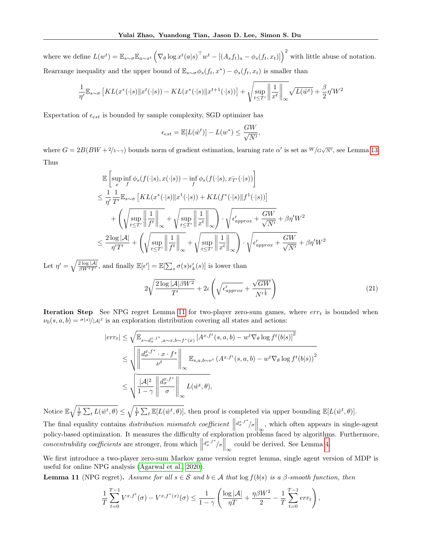where we define  $L(w^t) = \mathbb{E}_{s \sim \sigma} \mathbb{E}_{a \sim x^t} \left( \nabla_{\theta} \log x^t (a|s)^\top w^t - \left[ (A_s f_t)_a - \phi_s (f_t, x_t) \right] \right)^2$  with little abuse of notation. Rearrange inequality and the upper bound of  $\mathbb{E}_{s \sim \sigma} \phi_s(f_t, x^*) - \phi_s(f_t, x_t)$  is smaller than

$$
\frac{1}{\eta'}\mathbb{E}_{s\sim \sigma}\left[ KL(x^*(\cdot|s)\|x^t(\cdot|s)) - KL(x^*(\cdot|s)\|x^{t+1}(\cdot|s))\right] + \sqrt{\sup_{t\leq T'}\left\|\frac{1}{x^t}\right\|_{\infty}}\sqrt{L(\hat{w}^t)} + \frac{\beta}{2}\eta'W^2
$$

Expectation of  $\epsilon_{est}$  is bounded by sample complexity, SGD optimizer has

$$
\epsilon_{est} = \mathbb{E}[L(\hat{w}^t)] - L(w^*) \le \frac{GW}{\sqrt{N'}}
$$

where  $G = 2B(BW + 2/1 - \gamma)$  bounds norm of gradient estimation, learning rate  $\alpha'$  is set as  $W/G\sqrt{N'}$ , see Lemma [13.](#page-24-0) Thus

$$
\mathbb{E}\left[\sup_x \inf_f \phi_s(f(\cdot|s), x(\cdot|s)) - \inf_f \phi_s(f(\cdot|s), x_{T'}(\cdot|s))\right]
$$
\n
$$
\leq \frac{1}{\eta'} \frac{1}{T'} \mathbb{E}_{s \sim \sigma} \left[ KL(x^*(\cdot|s) \| x^1(\cdot|s)) + KL(f^*(\cdot|s) \| f^1(\cdot|s)) \right]
$$
\n
$$
+ \left( \sqrt{\sup_{t \leq T'} \left\| \frac{1}{f^t} \right\|_{\infty}} + \sqrt{\sup_{t \leq T'} \left\| \frac{1}{x^t} \right\|_{\infty}} \right) \cdot \sqrt{\epsilon'_{approx} + \frac{GW}{\sqrt{N'}}} + \beta \eta' W^2
$$
\n
$$
\leq \frac{2 \log |\mathcal{A}|}{\eta' T'} + \left( \sqrt{\sup_{t \leq T'} \left\| \frac{1}{f^t} \right\|_{\infty}} + \sqrt{\sup_{t \leq T'} \left\| \frac{1}{x^t} \right\|_{\infty}} \right) \cdot \sqrt{\epsilon'_{approx} + \frac{GW}{\sqrt{N'}}} + \beta \eta' W^2
$$

Let  $\eta' = \sqrt{\frac{2 \log |\mathcal{A}|}{\beta W^2 T'}}$ , and finally  $\mathbb{E}[\epsilon'] = \mathbb{E}[\sum_s \sigma(s) \epsilon'_k(s)]$  is lower than

$$
2\sqrt{\frac{2\log|\mathcal{A}|\beta W^2}{T'}} + 2\iota\left(\sqrt{\epsilon_{approx}'} + \frac{\sqrt{GW}}{N'^{\frac{1}{4}}}\right) \tag{21}
$$

,

Iteration Step See NPG regret Lemma [11](#page-22-0) for two-player zero-sum games, where  $err_t$  is bounded when  $\nu_0(s, a, b) = \frac{\sigma(s)}{|A|^2}$  is an exploration distribution covering all states and actions:

$$
|err_t| \leq \sqrt{\mathbb{E}_{s \sim d_{\sigma}^{x,f^*}, a \sim x, b \sim f^*(x)} \left[A^{x,f^t}(s, a, b) - w^t \nabla_{\theta} \log f^t(b|s)\right]^2}
$$
  

$$
\leq \sqrt{\left\|\frac{d_{\sigma}^{x,f^*} \cdot x \cdot f^*}{\nu^t}\right\|_{\infty}} \mathbb{E}_{s, a, b \sim \nu^t} (A^{x,f^t}(s, a, b) - w^t \nabla_{\theta} \log f^t(b|s))^2
$$
  

$$
\leq \sqrt{\frac{|\mathcal{A}|^2}{1 - \gamma} \left\|\frac{d_{\sigma}^{x,f^*}}{\sigma}\right\|_{\infty}} L(\hat{w}^t, \theta),
$$

Notice  $\mathbb{E} \sqrt{\frac{1}{T} \sum_{t} L(\hat{w}^t, \theta)} \leq \sqrt{\frac{1}{T} \sum_{t} \mathbb{E}[L(\hat{w}^t, \theta)]}$ , then proof is completed via upper bounding  $\mathbb{E}[L(\hat{w}^t, \theta)].$ The final equality contains distribution mismatch coefficient  $\left\| \frac{d_{\sigma}^{x,f^*}}{\infty} \right\|_{\infty}$ , which often appears in single-agent policy-based optimization. It measures the difficulty of exploration problems faced by algorithms. Furthermore, concentrability coefficients are stronger, from which  $\left\| \frac{d_{\sigma}^{x,f^*}}{\sigma} \right\|_{\infty}$  could be derived. See Lemma [4.](#page-14-0)

We first introduce a two-player zero-sum Markov game version regret lemma, single agent version of MDP is useful for online NPG analysis [\(Agarwal et al., 2020\)](#page-8-0).

<span id="page-22-0"></span>**Lemma 11** (NPG regret). Assume for all  $s \in S$  and  $b \in A$  that  $\log f(b|s)$  is a  $\beta$ -smooth function, then

$$
\frac{1}{T} \sum_{t=0}^{T-1} V^{x,f^t}(\sigma) - V^{x,f^*(x)}(\sigma) \le \frac{1}{1-\gamma} \left( \frac{\log |\mathcal{A}|}{\eta T} + \frac{\eta \beta W^2}{2} - \frac{1}{T} \sum_{t=0}^{T-1} err_t \right),
$$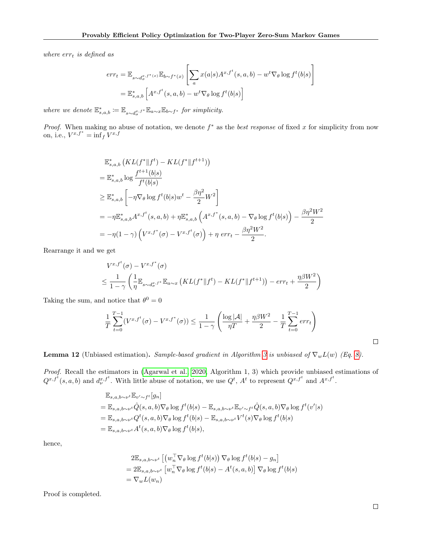where  $err_t$  is defined as

$$
err_t = \mathbb{E}_{s \sim d_{\sigma}^{x, f^*(x)}} \mathbb{E}_{b \sim f^*(x)} \left[ \sum_a x(a|s) A^{x, f^t}(s, a, b) - w^t \nabla_{\theta} \log f^t(b|s) \right]
$$

$$
= \mathbb{E}_{s, a, b}^* \left[ A^{x, f^t}(s, a, b) - w^t \nabla_{\theta} \log f^t(b|s) \right]
$$

where we denote  $\mathbb{E}_{s,a,b}^* := \mathbb{E}_{s \sim d_{\sigma}^x, f^*} \mathbb{E}_{a \sim x} \mathbb{E}_{b \sim f^*}$  for simplicity.

*Proof.* When making no abuse of notation, we denote  $f^*$  as the best response of fixed x for simplicity from now on, i.e.,  $V^{x,f^*} = \inf_{f} V^{x,f}$ 

$$
\mathbb{E}_{s,a,b}^{*}\left(KL(f^{*}||f^{t}) - KL(f^{*}||f^{t+1})\right)
$$
\n
$$
= \mathbb{E}_{s,a,b}^{*} \log \frac{f^{t+1}(b|s)}{f^{t}(b|s)}
$$
\n
$$
\geq \mathbb{E}_{s,a,b}^{*} \left[ -\eta \nabla_{\theta} \log f^{t}(b|s) w^{t} - \frac{\beta \eta^{2}}{2} W^{2} \right]
$$
\n
$$
= -\eta \mathbb{E}_{s,a,b}^{*} A^{x,f^{t}}(s,a,b) + \eta \mathbb{E}_{s,a,b}^{*} \left(A^{x,f^{*}}(s,a,b) - \nabla_{\theta} \log f^{t}(b|s)\right) - \frac{\beta \eta^{2} W^{2}}{2}
$$
\n
$$
= -\eta (1 - \gamma) \left(V^{x,f^{*}}(\sigma) - V^{x,f^{t}}(\sigma)\right) + \eta \text{ err}_{t} - \frac{\beta \eta^{2} W^{2}}{2}.
$$

Rearrange it and we get

$$
V^{x,f^t}(\sigma) - V^{x,f^*}(\sigma)
$$
  
\n
$$
\leq \frac{1}{1-\gamma} \left( \frac{1}{\eta} \mathbb{E}_{s \sim d_{\sigma}^{x,f^*}} \mathbb{E}_{a \sim x} \left( KL(f^* \| f^t) - KL(f^* \| f^{t+1}) \right) - err_t + \frac{\eta \beta W^2}{2} \right)
$$

Taking the sum, and notice that  $\theta^0 = 0$ 

$$
\frac{1}{T} \sum_{t=0}^{T-1} (V^{x,f^t}(\sigma) - V^{x,f^*}(\sigma)) \le \frac{1}{1-\gamma} \left( \frac{\log |\mathcal{A}|}{\eta T} + \frac{\eta \beta W^2}{2} - \frac{1}{T} \sum_{t=0}^{T-1} err_t \right)
$$

**Lemma 12** (Unbiased estimation). Sample-based gradient in Algorithm [3](#page-7-0) is unbiased of  $\nabla_w L(w)$  (Eq. [8\)](#page-7-2).

Proof. Recall the estimators in [\(Agarwal et al., 2020,](#page-8-0) Algorithm 1, 3) which provide unbiased estimations of  $Q^{x,f^t}(s, a, b)$  and  $d_{\nu}^{x,f^t}$ . With little abuse of notation, we use  $Q^t$ ,  $A^t$  to represent  $Q^{x,f^t}$  and  $A^{x,f^t}$ .

$$
\mathbb{E}_{s,a,b\sim\nu^{t}}\mathbb{E}_{v'\sim f^{t}}[g_{n}]
$$
\n
$$
= \mathbb{E}_{s,a,b\sim\nu^{t}}\hat{Q}(s,a,b)\nabla_{\theta}\log f^{t}(b|s) - \mathbb{E}_{s,a,b\sim\nu^{t}}\mathbb{E}_{v'\sim f^{t}}\hat{Q}(s,a,b)\nabla_{\theta}\log f^{t}(v'|s)
$$
\n
$$
= \mathbb{E}_{s,a,b\sim\nu^{t}}Q^{t}(s,a,b)\nabla_{\theta}\log f^{t}(b|s) - \mathbb{E}_{s,a,b\sim\nu^{t}}V^{t}(s)\nabla_{\theta}\log f^{t}(b|s)
$$
\n
$$
= \mathbb{E}_{s,a,b\sim\nu^{t}}A^{t}(s,a,b)\nabla_{\theta}\log f^{t}(b|s),
$$

hence,

$$
2\mathbb{E}_{s,a,b\sim\nu^{t}}\left[\left(w_{n}^{\top}\nabla_{\theta}\log f^{t}(b|s)\right)\nabla_{\theta}\log f^{t}(b|s)-g_{n}\right]
$$
  
= 
$$
2\mathbb{E}_{s,a,b\sim\nu^{t}}\left[w_{n}^{\top}\nabla_{\theta}\log f^{t}(b|s)-A^{t}(s,a,b)\right]\nabla_{\theta}\log f^{t}(b|s)
$$
  
= 
$$
\nabla_{w}L(w_{n})
$$

Proof is completed.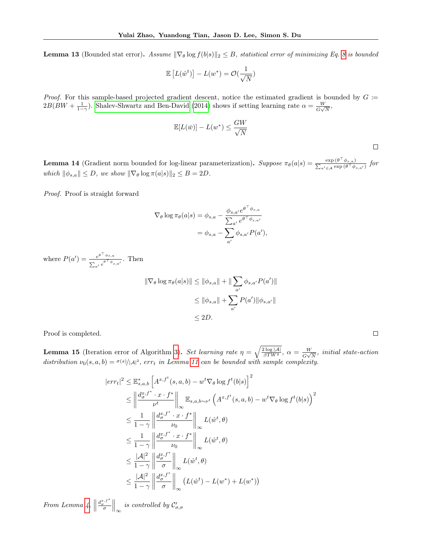<span id="page-24-0"></span>**Lemma 13** (Bounded stat error). Assume  $\|\nabla_{\theta} \log f(b|s)\|_2 \leq B$ , statistical error of minimizing Eq. [8](#page-7-2) is bounded

$$
\mathbb{E}\left[L(\hat{w}^t)\right] - L(w^*) = \mathcal{O}(\frac{1}{\sqrt{N}})
$$

*Proof.* For this sample-based projected gradient descent, notice the estimated gradient is bounded by  $G \coloneqq$  $2B(BW + \frac{1}{1-\gamma})$ . [Shalev-Shwartz and Ben-David](#page-10-22) [\(2014\)](#page-10-22) shows if setting learning rate  $\alpha = \frac{W}{G\sqrt{3}}$  $\frac{W}{G\sqrt{N}},$ 

$$
\mathbb{E}[L(\bar{w})] - L(w^*) \le \frac{GW}{\sqrt{N}}
$$

 $\Box$ 

**Lemma 14** (Gradient norm bounded for log-linear parameterization). Suppose  $\pi_{\theta}(a|s) = \frac{\exp(\theta^{T} s)}{\sum_{i=1}^{n} s_i^2}$  $\frac{\exp(\theta^{\top} \phi_{s,a})}{\sum_{a' \in A} \exp(\theta^{\top} \phi)}$  $\frac{\exp{(\theta - \varphi_{s,a})}}{a' \in A}$   $\exp{(\theta^{\top} \varphi_{s,a'})}$  for which  $\|\phi_{s,a}\| \leq D$ , we show  $\|\nabla_{\theta} \log \pi(a|s)\|_2 \leq B = 2D$ .

Proof. Proof is straight forward

$$
\nabla_{\theta} \log \pi_{\theta}(a|s) = \phi_{s,a} - \frac{\phi_{s,a'} e^{\theta^{\top} \phi_{s,a}}}{\sum_{a'} e^{\theta^{\top} \phi_{s,a'}}}
$$

$$
= \phi_{s,a} - \sum_{a'} \phi_{s,a'} P(a'),
$$

where  $P(a') = \frac{e^{\theta^\top \phi_{s,a}}}{e^\top a}$  $\frac{e^{s\varphi}+s,a}{\sum_{a'}e^{\theta^\top\phi}+s,a'}}$ . Then

$$
\|\nabla_{\theta} \log \pi_{\theta}(a|s)\| \leq \|\phi_{s,a}\| + \|\sum_{a'} \phi_{s,a'} P(a')\|
$$
  

$$
\leq \|\phi_{s,a}\| + \sum_{a'} P(a') \|\phi_{s,a'}\|
$$
  

$$
\leq 2D.
$$

Proof is completed.

**Lemma 15** (Iteration error of Algorithm [3\)](#page-7-0). Set learning rate  $\eta = \sqrt{\frac{2 \log |\mathcal{A}|}{\beta T W^2}}$ ,  $\alpha = \frac{W}{G\sqrt{2\pi k}}$  $\frac{W}{G\sqrt{N}}$ , initial state-action distribution  $\nu_0(s, a, b) = \frac{\sigma(s)}{|A|^2}$ , err<sub>t</sub> in Lemma [11](#page-22-0) can be bounded with sample complexity.

$$
\begin{split}\n &|err_{t}|^{2} \leq \mathbb{E}_{s,a,b}^{*}\left[A^{x,f^{t}}(s,a,b) - w^{t}\nabla_{\theta}\log f^{t}(b|s)\right]^{2} \\
&\leq \left\|\frac{d_{\sigma}^{x,f^{*}} \cdot x \cdot f^{*}}{\nu^{t}}\right\|_{\infty} \mathbb{E}_{s,a,b \sim \nu^{t}}\left(A^{x,f^{t}}(s,a,b) - w^{t}\nabla_{\theta}\log f^{t}(b|s)\right)^{2} \\
&\leq \frac{1}{1-\gamma}\left\|\frac{d_{\sigma}^{x,f^{*}} \cdot x \cdot f^{*}}{\nu_{0}}\right\|_{\infty}L(\hat{w}^{t},\theta) \\
&\leq \frac{1}{1-\gamma}\left\|\frac{d_{\sigma}^{x,f^{*}} \cdot x \cdot f^{*}}{\nu_{0}}\right\|_{\infty}L(\hat{w}^{t},\theta) \\
&\leq \frac{|\mathcal{A}|^{2}}{1-\gamma}\left\|\frac{d_{\sigma}^{x,f^{*}}}{\sigma}\right\|_{\infty}L(\hat{w}^{t},\theta) \\
&\leq \frac{|\mathcal{A}|^{2}}{1-\gamma}\left\|\frac{d_{\sigma}^{x,f^{*}}}{\sigma}\right\|_{\infty}\left(L(\hat{w}^{t}) - L(w^{*}) + L(w^{*})\right)\n\end{split}
$$

From Lemma [4,](#page-14-0)  $\parallel$  $\left\Vert \frac{d_{\sigma}^{x,f^*}}{\sigma}\right\Vert_{\infty}$  is controlled by  $\mathcal{C}'_{\sigma,\sigma}$